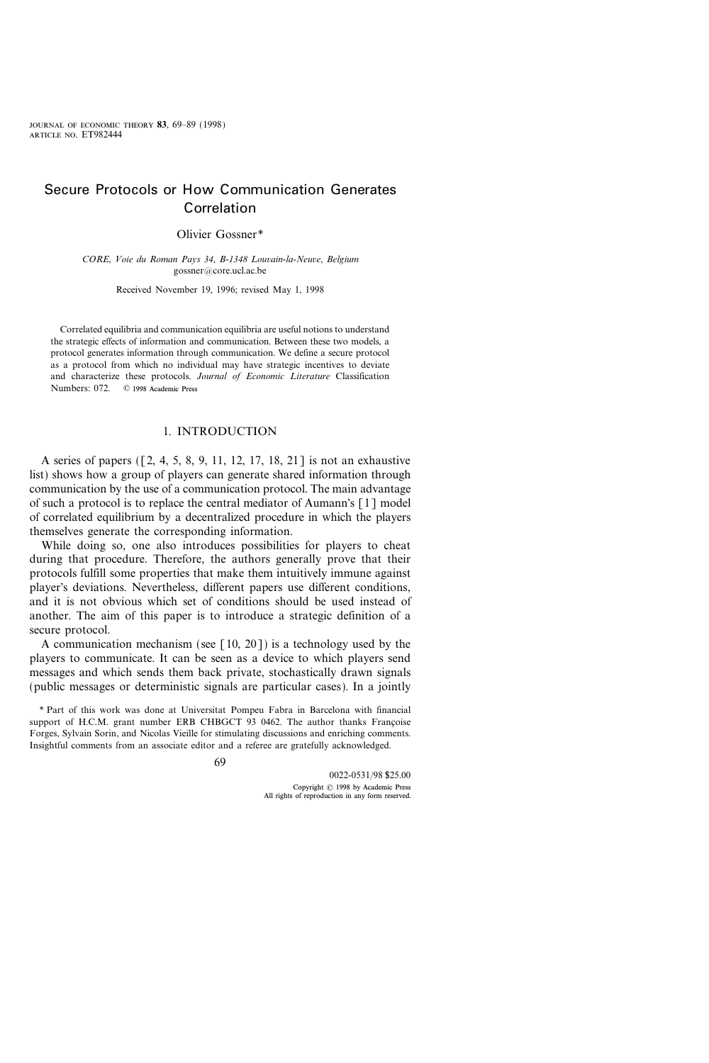# Secure Protocols or How Communication Generates Correlation

Olivier Gossner\*

CORE, Voie du Roman Pays 34, B-1348 Louvain-la-Neuve, Belgium gossner@core.ucl.ac.be

Received November 19, 1996; revised May 1, 1998

Correlated equilibria and communication equilibria are useful notions to understand the strategic effects of information and communication. Between these two models, a protocol generates information through communication. We define a secure protocol as a protocol from which no individual may have strategic incentives to deviate and characterize these protocols. Journal of Economic Literature Classification Numbers: 072. © 1998 Academic Press

# 1. INTRODUCTION

A series of papers ([2, 4, 5, 8, 9, 11, 12, 17, 18, 21] is not an exhaustive list) shows how a group of players can generate shared information through communication by the use of a communication protocol. The main advantage of such a protocol is to replace the central mediator of Aumann's [1] model of correlated equilibrium by a decentralized procedure in which the players themselves generate the corresponding information.

While doing so, one also introduces possibilities for players to cheat during that procedure. Therefore, the authors generally prove that their protocols fulfill some properties that make them intuitively immune against player's deviations. Nevertheless, different papers use different conditions, and it is not obvious which set of conditions should be used instead of another. The aim of this paper is to introduce a strategic definition of a secure protocol.

A communication mechanism (see  $[10, 20]$ ) is a technology used by the players to communicate. It can be seen as a device to which players send messages and which sends them back private, stochastically drawn signals (public messages or deterministic signals are particular cases). In a jointly

<sup>\*</sup> Part of this work was done at Universitat Pompeu Fabra in Barcelona with financial support of H.C.M. grant number ERB CHBGCT 93 0462. The author thanks Françoise Forges, Sylvain Sorin, and Nicolas Vieille for stimulating discussions and enriching comments. Insightful comments from an associate editor and a referee are gratefully acknowledged.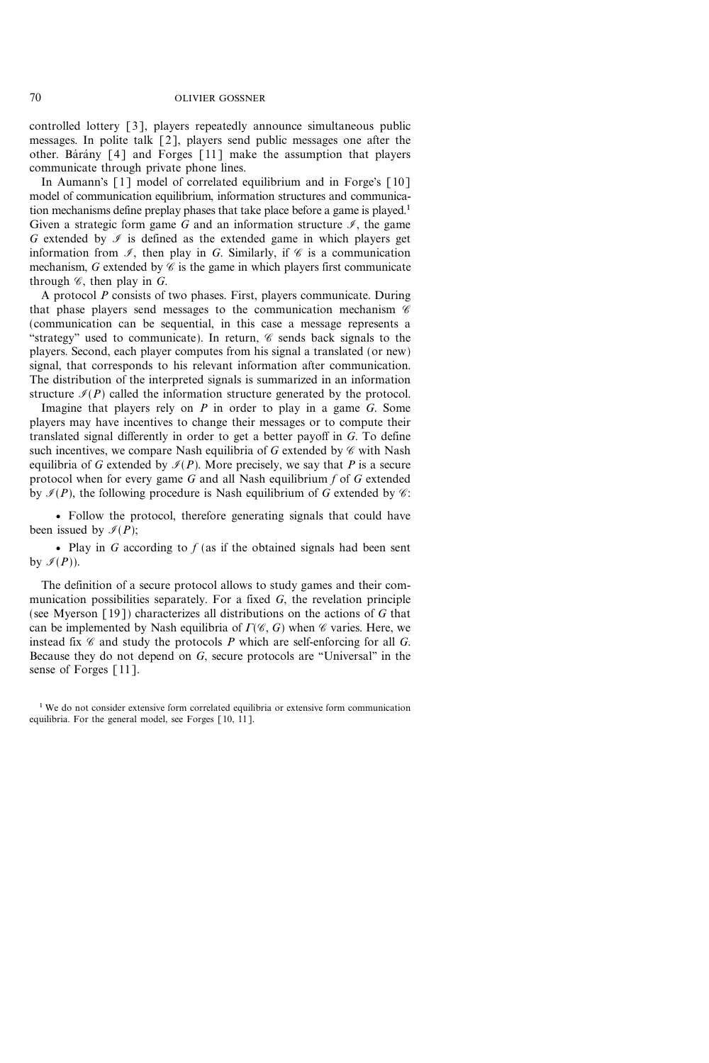controlled lottery [3], players repeatedly announce simultaneous public messages. In polite talk [2], players send public messages one after the other. Barany  $\lceil 4 \rceil$  and Forges  $\lceil 11 \rceil$  make the assumption that players communicate through private phone lines.

In Aumann's [1] model of correlated equilibrium and in Forge's [10] model of communication equilibrium, information structures and communication mechanisms define preplay phases that take place before a game is played.<sup>1</sup> Given a strategic form game G and an information structure  $\mathcal{I}$ , the game G extended by  $\mathcal I$  is defined as the extended game in which players get information from  $\mathcal{I}$ , then play in G. Similarly, if  $\mathcal{C}$  is a communication mechanism, G extended by  $\mathscr C$  is the game in which players first communicate through  $\mathscr C$ , then play in  $G$ .

A protocol P consists of two phases. First, players communicate. During that phase players send messages to the communication mechanism  $\mathscr C$ (communication can be sequential, in this case a message represents a "strategy" used to communicate). In return,  $\mathscr C$  sends back signals to the players. Second, each player computes from his signal a translated (or new) signal, that corresponds to his relevant information after communication. The distribution of the interpreted signals is summarized in an information structure  $\mathcal{I}(P)$  called the information structure generated by the protocol.

Imagine that players rely on  $P$  in order to play in a game  $G$ . Some players may have incentives to change their messages or to compute their translated signal differently in order to get a better payoff in G. To define such incentives, we compare Nash equilibria of G extended by  $\mathscr C$  with Nash equilibria of G extended by  $\mathcal{I}(P)$ . More precisely, we say that P is a secure protocol when for every game  $G$  and all Nash equilibrium  $f$  of  $G$  extended by  $\mathcal{I}(P)$ , the following procedure is Nash equilibrium of G extended by  $\mathcal{C}$ :

v Follow the protocol, therefore generating signals that could have been issued by  $\mathcal{I}(P)$ ;

• Play in G according to  $f$  (as if the obtained signals had been sent by  $\mathcal{I}(P)$ ).

The definition of a secure protocol allows to study games and their communication possibilities separately. For a fixed  $G$ , the revelation principle (see Myerson [19]) characterizes all distributions on the actions of G that can be implemented by Nash equilibria of  $\Gamma(\mathcal{C}, G)$  when  $\mathcal C$  varies. Here, we instead fix  $\mathscr C$  and study the protocols  $P$  which are self-enforcing for all  $G$ . Because they do not depend on  $G$ , secure protocols are "Universal" in the sense of Forges [11].

<sup>&</sup>lt;sup>1</sup> We do not consider extensive form correlated equilibria or extensive form communication equilibria. For the general model, see Forges [10, 11].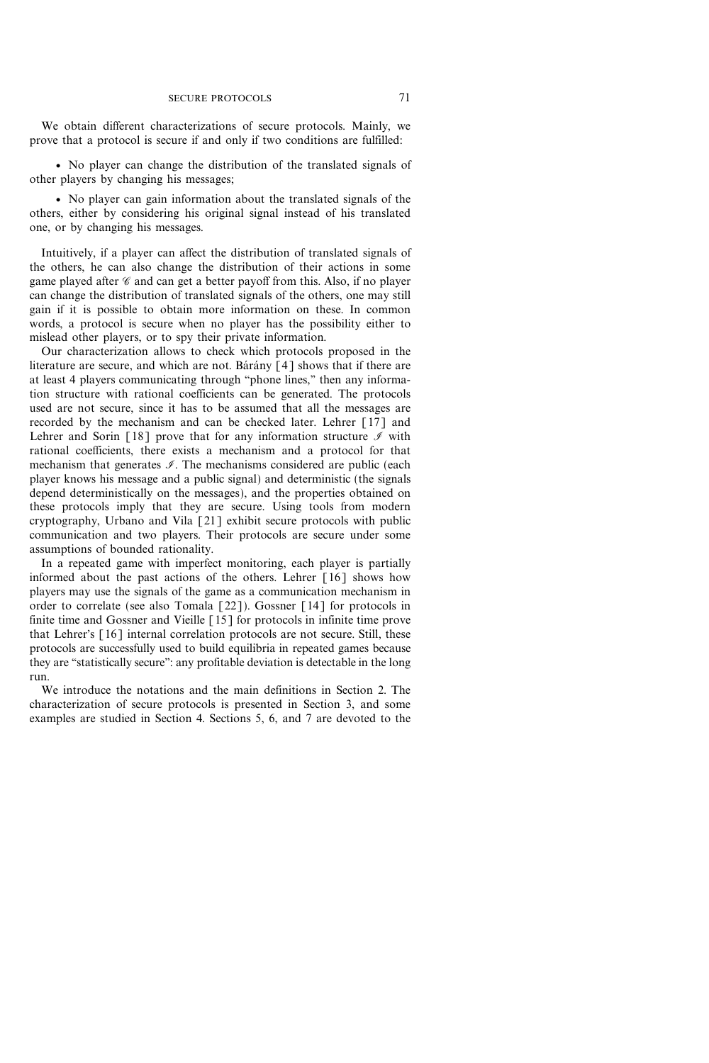We obtain different characterizations of secure protocols. Mainly, we prove that a protocol is secure if and only if two conditions are fulfilled:

v No player can change the distribution of the translated signals of other players by changing his messages;

v No player can gain information about the translated signals of the others, either by considering his original signal instead of his translated one, or by changing his messages.

Intuitively, if a player can affect the distribution of translated signals of the others, he can also change the distribution of their actions in some game played after  $\mathscr C$  and can get a better payoff from this. Also, if no player can change the distribution of translated signals of the others, one may still gain if it is possible to obtain more information on these. In common words, a protocol is secure when no player has the possibility either to mislead other players, or to spy their private information.

Our characterization allows to check which protocols proposed in the literature are secure, and which are not. Barany  $[4]$  shows that if there are at least 4 players communicating through "phone lines," then any information structure with rational coefficients can be generated. The protocols used are not secure, since it has to be assumed that all the messages are recorded by the mechanism and can be checked later. Lehrer [17] and Lehrer and Sorin [18] prove that for any information structure  $\mathcal I$  with rational coefficients, there exists a mechanism and a protocol for that mechanism that generates  $\mathcal{I}$ . The mechanisms considered are public (each player knows his message and a public signal) and deterministic (the signals depend deterministically on the messages), and the properties obtained on these protocols imply that they are secure. Using tools from modern cryptography, Urbano and Vila [21] exhibit secure protocols with public communication and two players. Their protocols are secure under some assumptions of bounded rationality.

In a repeated game with imperfect monitoring, each player is partially informed about the past actions of the others. Lehrer [16] shows how players may use the signals of the game as a communication mechanism in order to correlate (see also Tomala [22]). Gossner [14] for protocols in finite time and Gossner and Vieille [15] for protocols in infinite time prove that Lehrer's [16] internal correlation protocols are not secure. Still, these protocols are successfully used to build equilibria in repeated games because they are "statistically secure": any profitable deviation is detectable in the long run.

We introduce the notations and the main definitions in Section 2. The characterization of secure protocols is presented in Section 3, and some examples are studied in Section 4. Sections 5, 6, and 7 are devoted to the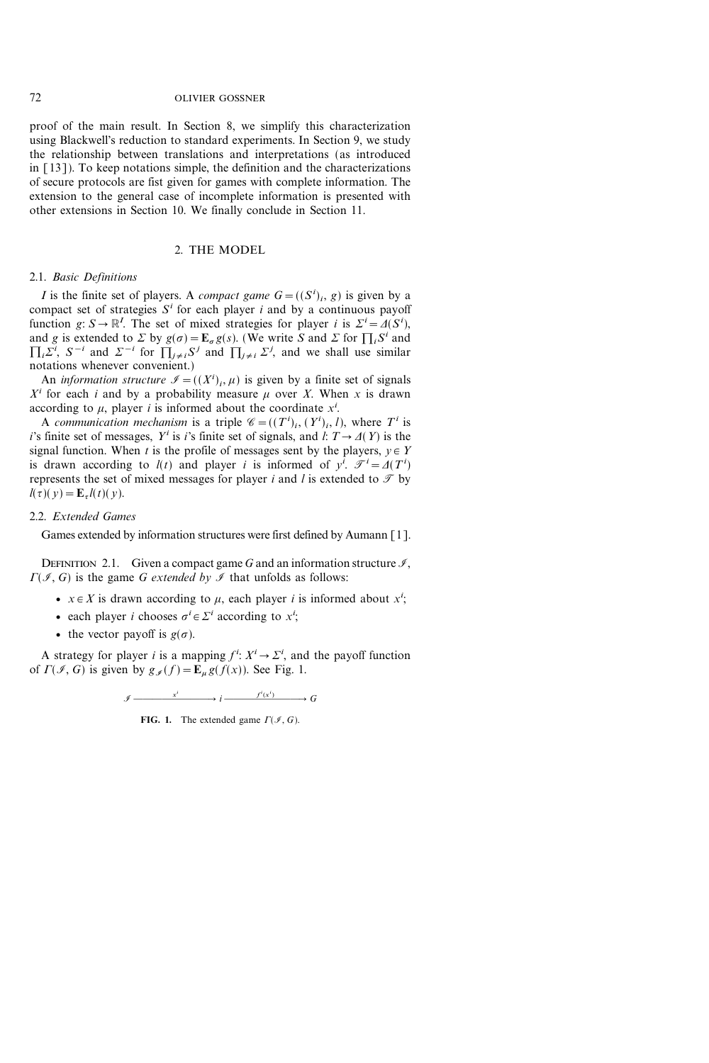proof of the main result. In Section 8, we simplify this characterization using Blackwell's reduction to standard experiments. In Section 9, we study the relationship between translations and interpretations (as introduced in [13]). To keep notations simple, the definition and the characterizations of secure protocols are fist given for games with complete information. The extension to the general case of incomplete information is presented with other extensions in Section 10. We finally conclude in Section 11.

# 2. THE MODEL

# 2.1. Basic Definitions

*I* is the finite set of players. A *compact game*  $G = ((S^i)_i, g)$  is given by a compact set of strategies  $S<sup>i</sup>$  for each player i and by a continuous payoff function  $g: S \to \mathbb{R}^I$ . The set of mixed strategies for player i is  $\Sigma^i = \Delta(S^i)$ , and g is extended to  $\Sigma$  by  $g(\sigma) = \mathbf{E}_{\sigma} g(s)$ . (We write S and  $\Sigma$  for  $\prod_i S^i$  and  $\prod_i \sum^i$ ,  $S^{-i}$  and  $\sum^{-i}$  for  $\prod_{j \neq i} S^j$  and  $\prod_{j \neq i} \sum^j$ , and we shall use similar notations whenever convenient.)

An *information structure*  $\mathcal{I} = ((X^i)_i, \mu)$  is given by a finite set of signals  $X<sup>i</sup>$  for each i and by a probability measure  $\mu$  over X. When x is drawn according to  $\mu$ , player *i* is informed about the coordinate  $x^i$ .

A communication mechanism is a triple  $\mathscr{C} = ((T^i)_i, (Y^i)_i, l)$ , where  $T^i$  is i's finite set of messages, Y<sup>i</sup> is i's finite set of signals, and l:  $T \rightarrow \Delta(Y)$  is the signal function. When t is the profile of messages sent by the players,  $y \in Y$ is drawn according to  $l(t)$  and player i is informed of  $y^{i}$ .  $\mathcal{T}^{i} = \Delta(T^{i})$ represents the set of mixed messages for player i and l is extended to  $\mathcal{T}$  by  $l(\tau)(y) = \mathbf{E}_{\tau} l(t)(y).$ 

# 2.2. Extended Games

Games extended by information structures were first defined by Aumann [1].

DEFINITION 2.1. Given a compact game G and an information structure  $\mathcal{I}$ ,  $\Gamma(\mathcal{I}, G)$  is the game G extended by  $\mathcal{I}$  that unfolds as follows:

- $x \in X$  is drawn according to  $\mu$ , each player *i* is informed about  $x^i$ ;
- each player *i* chooses  $\sigma^i \in \Sigma^i$  according to  $x^i$ ;
- the vector payoff is  $g(\sigma)$ .

A strategy for player *i* is a mapping  $f^i: X^i \to \Sigma^i$ , and the payoff function of  $\Gamma(\mathcal{I}, G)$  is given by  $g_{\mathcal{I}}(f) = \mathbf{E}_{\mu} g(f(x))$ . See Fig. 1.

$$
\mathscr{I} \xrightarrow{\quad x^i \qquad \qquad i \qquad \qquad } i \xrightarrow{\quad f^i(x^i)} \qquad G
$$

FIG. 1. The extended game  $\Gamma(\mathcal{I}, G)$ .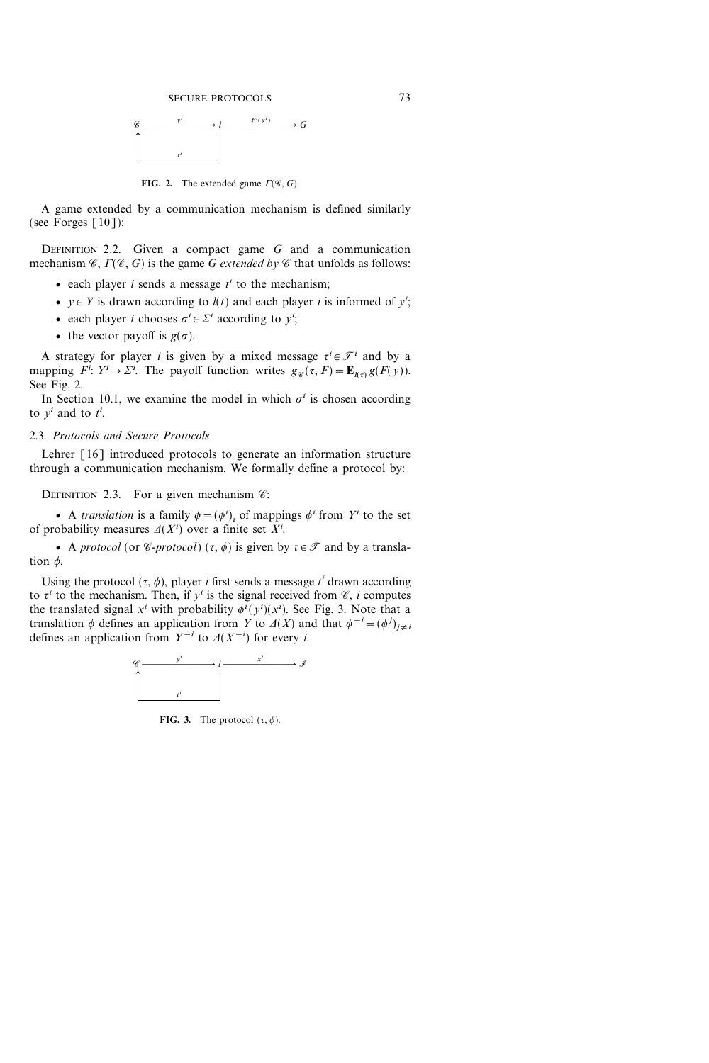

FIG. 2. The extended game  $\Gamma(\mathcal{C}, G)$ .

A game extended by a communication mechanism is defined similarly (see Forges  $[10]$ ):

DEFINITION 2.2. Given a compact game  $G$  and a communication mechanism  $\mathcal{C}, \Gamma(\mathcal{C}, G)$  is the game G extended by  $\mathcal C$  that unfolds as follows:

- each player *i* sends a message  $t^i$  to the mechanism;
- $y \in Y$  is drawn according to  $l(t)$  and each player i is informed of  $y^i$ ;
- each player *i* chooses  $\sigma^i \in \Sigma^i$  according to  $y^i$ ;
- the vector payoff is  $g(\sigma)$ .

A strategy for player *i* is given by a mixed message  $\tau^{i} \in \mathcal{T}^{i}$  and by a mapping  $\overline{F}^i$ :  $Y^i \rightarrow \Sigma^i$ . The payoff function writes  $g_{\mathscr{C}}(\tau, F) = \mathbf{E}_{I(\tau)} g(F(y))$ . See Fig. 2.

In Section 10.1, we examine the model in which  $\sigma^i$  is chosen according to  $y^i$  and to  $t^i$ .

# 2.3. Protocols and Secure Protocols

Lehrer [16] introduced protocols to generate an information structure through a communication mechanism. We formally define a protocol by:

DEFINITION 2.3. For a given mechanism  $\mathscr{C}$ :

• A *translation* is a family  $\phi = (\phi^i)_i$  of mappings  $\phi^i$  from  $Y^i$  to the set of probability measures  $\Delta(X^i)$  over a finite set  $X^i$ .

• A protocol (or *C*-protocol)  $(\tau, \phi)$  is given by  $\tau \in \mathcal{T}$  and by a translation  $\phi$ .

Using the protocol  $({\tau, \phi})$ , player *i* first sends a message  $t^i$  drawn according to  $\tau^i$  to the mechanism. Then, if  $y^i$  is the signal received from  $\mathscr{C}$ , i computes the translated signal  $x^i$  with probability  $\phi^i(y^i)(x^i)$ . See Fig. 3. Note that a translation  $\phi$  defines an application from Y to  $\Delta(X)$  and that  $\phi^{-i} = (\phi^j)_{j \neq i}$ defines an application from  $Y^{-i}$  to  $\Delta(X^{-i})$  for every i.



FIG. 3. The protocol  $(\tau, \phi)$ .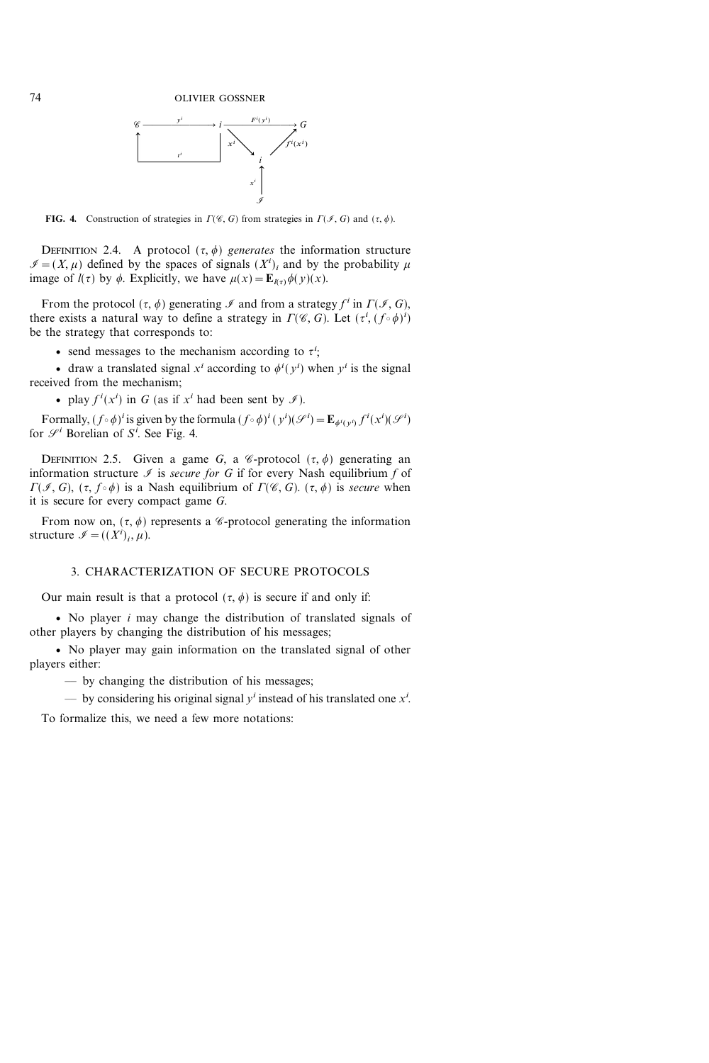

FIG. 4. Construction of strategies in  $\Gamma(\mathscr{C}, G)$  from strategies in  $\Gamma(\mathscr{I}, G)$  and  $(\tau, \phi)$ .

DEFINITION 2.4. A protocol  $({\tau}, {\phi})$  generates the information structure  $\mathcal{I} = (X, \mu)$  defined by the spaces of signals  $(X^{i})_{i}$  and by the probability  $\mu$ image of  $l(\tau)$  by  $\phi$ . Explicitly, we have  $\mu(x) = \mathbf{E}_{l(\tau)}\phi(y)(x)$ .

From the protocol  $({\tau, \phi})$  generating  $\mathscr I$  and from a strategy  $f^i$  in  $\Gamma(\mathscr I, G)$ , there exists a natural way to define a strategy in  $\Gamma(\mathscr{C}, G)$ . Let  $(\tau^i, (f \circ \phi)^i)$ be the strategy that corresponds to:

• send messages to the mechanism according to  $\tau^i$ ;

• draw a translated signal  $x^i$  according to  $\phi^i(y^i)$  when  $y^i$  is the signal received from the mechanism;

• play  $f^{i}(x^{i})$  in G (as if  $x^{i}$  had been sent by  $\mathscr{I}$ ).

Formally,  $(f \circ \phi)^i$  is given by the formula  $(f \circ \phi)^i (y^i) (\mathcal{S}^i) = \mathbf{E}_{\phi^i(y^i)} f^i(x^i) (\mathcal{S}^i)$ for  $\mathcal{S}^i$  Borelian of  $S^i$ . See Fig. 4.

DEFINITION 2.5. Given a game G, a  $\mathscr C$ -protocol  $(\tau, \phi)$  generating an information structure  $\mathcal I$  is secure for G if for every Nash equilibrium f of  $\Gamma(\mathcal{I}, G)$ ,  $(\tau, f \circ \phi)$  is a Nash equilibrium of  $\Gamma(\mathcal{C}, G)$ .  $(\tau, \phi)$  is secure when it is secure for every compact game G.

From now on,  $({\tau}, {\phi})$  represents a *C*-protocol generating the information structure  $\mathscr{I} = ((X^i)_i, \mu)$ .

# 3. CHARACTERIZATION OF SECURE PROTOCOLS

Our main result is that a protocol  $({\tau, \phi})$  is secure if and only if:

• No player  $i$  may change the distribution of translated signals of other players by changing the distribution of his messages;

v No player may gain information on the translated signal of other players either:

by changing the distribution of his messages;

— by considering his original signal  $y^i$  instead of his translated one  $x^i$ .

To formalize this, we need a few more notations: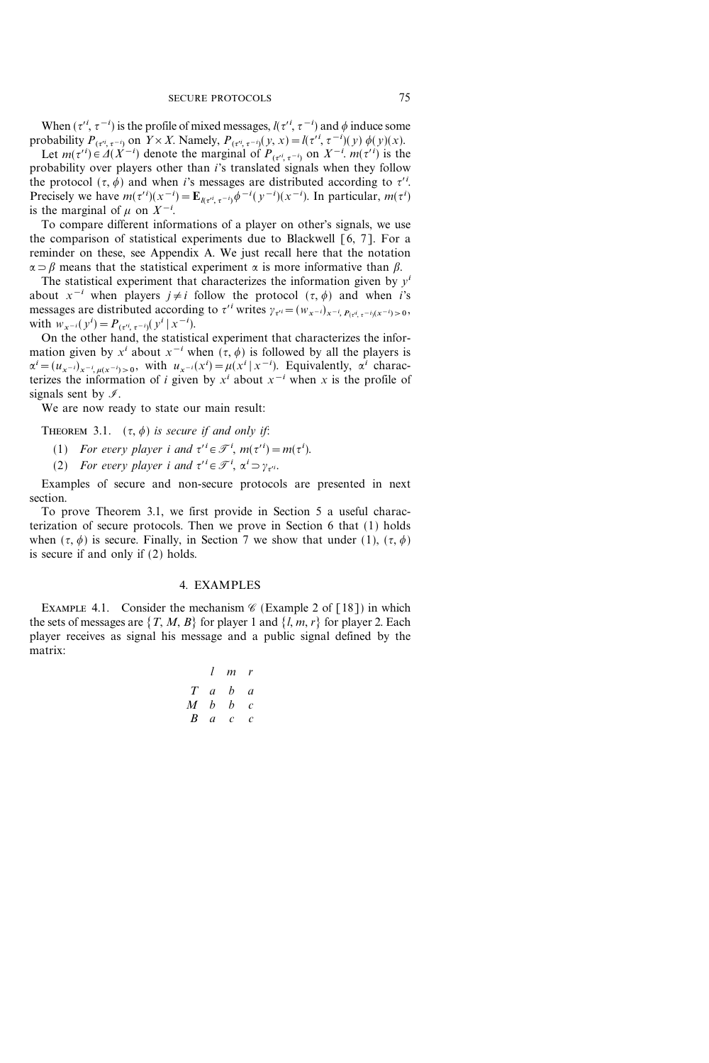When  $({\tau'}^i, {\tau}^{-i})$  is the profile of mixed messages,  $l({\tau'}^i, {\tau}^{-i})$  and  $\phi$  induce some probability  $P_{(\tau^{i}, \tau^{-i})}$  on  $Y \times X$ . Namely,  $P_{(\tau^{i}, \tau^{-i})}(y, x) = l(\tau^{i}, \tau^{-i})(y) \phi(y)(x)$ .

Let  $m(\tau^{i}) \in \Delta(X^{-i})$  denote the marginal of  $P_{(\tau^{i}, \tau^{-i})}$  on  $X^{-i}$ .  $m(\tau^{i})$  is the probability over players other than i's translated signals when they follow the protocol  $({\tau}, {\phi})$  and when *i*'s messages are distributed according to  ${\tau}$ <sup>*i*</sup>. Precisely we have  $m(\tau^{i})(x^{-i}) = \mathbf{E}_{l(\tau^{i}, \tau^{-i})} \phi^{-i}(y^{-i})(x^{-i})$ . In particular,  $m(\tau^{i})$ is the marginal of  $\mu$  on  $X^{-i}$ .

To compare different informations of a player on other's signals, we use the comparison of statistical experiments due to Blackwell  $[6, 7]$ . For a reminder on these, see Appendix A. We just recall here that the notation  $\alpha \supset \beta$  means that the statistical experiment  $\alpha$  is more informative than  $\beta$ .

The statistical experiment that characterizes the information given by  $y^i$ about  $x^{-i}$  when players  $j \neq i$  follow the protocol  $({\tau}, {\phi})$  and when i's messages are distributed according to  $\tau'^i$  writes  $\gamma_{\tau'^i} = (w_{x^{-i}})_{x^{-i}, P(\tau^{i}, \tau^{-i})(x^{-i}) > 0}$ , with  $w_{x^{-i}}(y^i) = P_{(\tau^{i}, \tau^{-i})}(y^i | x^{-i}).$ 

On the other hand, the statistical experiment that characterizes the information given by  $x^i$  about  $x^{-i}$  when  $({\tau, \phi})$  is followed by all the players is  $\alpha^{i} = (u_{x-i})_{x=i, \mu(x^{-i})>0}$ , with  $u_{x-i}(x^{i}) = \mu(x^{i} | x^{-i})$ . Equivalently,  $\alpha^{i}$  characterizes the information of i given by  $x^i$  about  $x^{-i}$  when x is the profile of signals sent by  $\mathcal{I}$ .

We are now ready to state our main result:

THEOREM 3.1.  $(\tau, \phi)$  is secure if and only if:

(1) For every player i and  $\tau' = \mathcal{T}^i$ ,  $m(\tau'^i) = m(\tau^i)$ .

(2) For every player i and  $\tau^i \in \mathcal{F}^i$ ,  $\alpha^i \supset \gamma_{\tau^i}$ .

Examples of secure and non-secure protocols are presented in next section.

To prove Theorem 3.1, we first provide in Section 5 a useful characterization of secure protocols. Then we prove in Section 6 that (1) holds when  $({\tau}, {\phi})$  is secure. Finally, in Section 7 we show that under (1),  $({\tau}, {\phi})$ is secure if and only if (2) holds.

# 4. EXAMPLES

EXAMPLE 4.1. Consider the mechanism  $\mathscr C$  (Example 2 of [18]) in which the sets of messages are  $\{T, M, B\}$  for player 1 and  $\{l, m, r\}$  for player 2. Each player receives as signal his message and a public signal defined by the matrix:

|                  |                | l m r     |                |
|------------------|----------------|-----------|----------------|
|                  |                | $T$ a $b$ | $\overline{a}$ |
| M                | h              | h         | $\mathcal{C}$  |
| $\boldsymbol{B}$ | $\mathfrak{a}$ | c         | c              |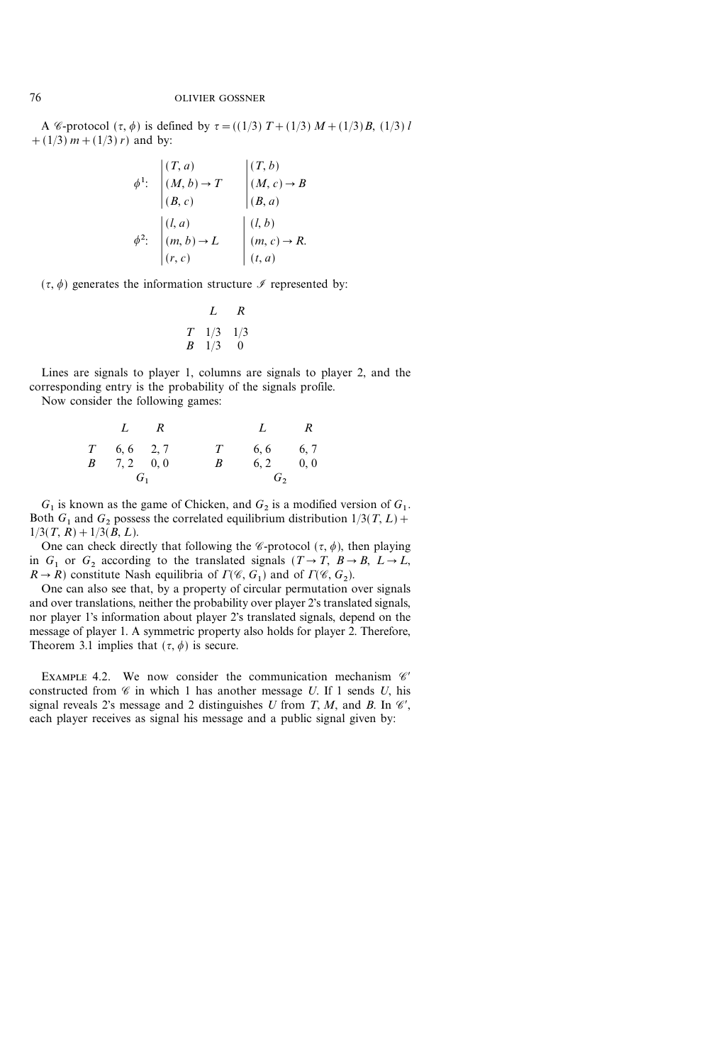A *C*-protocol  $({\tau, \phi})$  is defined by  ${\tau = ((1/3) T + (1/3) M + (1/3) B, (1/3) l}$  $+(1/3) m + (1/3) r$  and by:

$$
\phi^1: \begin{vmatrix} (T, a) & (T, b) \\ (M, b) \rightarrow T & (M, c) \rightarrow B \\ (B, c) & (B, a) \end{vmatrix}
$$

$$
\phi^2: \begin{vmatrix} (l, a) & (l, b) \\ (m, b) \rightarrow L & (m, c) \rightarrow R \\ (r, c) & (t, a) \end{vmatrix}
$$

 $({\tau}, {\phi})$  generates the information structure  ${\mathscr I}$  represented by:

$$
\begin{array}{cc}\n & L & R \\
T & 1/3 & 1/3 \\
B & 1/3 & 0\n\end{array}
$$

Lines are signals to player 1, columns are signals to player 2, and the corresponding entry is the probability of the signals profile.

Now consider the following games:

| $L$ R             |   | $L$ R              |       |
|-------------------|---|--------------------|-------|
| $T = 6, 6 = 2, 7$ |   | $T = 6, 6 = 6, 7$  |       |
| $B = 7, 2 = 0, 0$ | В | $6, 2 \qquad 0, 0$ |       |
| $G_1$             |   |                    | $G_2$ |

 $G_1$  is known as the game of Chicken, and  $G_2$  is a modified version of  $G_1$ . Both  $G_1$  and  $G_2$  possess the correlated equilibrium distribution  $1/3(T, L)$  +  $1/3(T, R) + 1/3(B, L).$ 

One can check directly that following the *C*-protocol ( $\tau$ ,  $\phi$ ), then playing in  $G_1$  or  $G_2$  according to the translated signals  $(T \rightarrow T, B \rightarrow B, L \rightarrow L,$  $R \rightarrow R$ ) constitute Nash equilibria of  $\Gamma(\mathcal{C}, G_1)$  and of  $\Gamma(\mathcal{C}, G_2)$ .

One can also see that, by a property of circular permutation over signals and over translations, neither the probability over player 2's translated signals, nor player 1's information about player 2's translated signals, depend on the message of player 1. A symmetric property also holds for player 2. Therefore, Theorem 3.1 implies that  $({\tau}, {\phi})$  is secure.

EXAMPLE 4.2. We now consider the communication mechanism  $\mathscr{C}'$ constructed from  $\mathscr C$  in which 1 has another message U. If 1 sends U, his signal reveals 2's message and 2 distinguishes U from T, M, and B. In  $\mathcal{C}$ , each player receives as signal his message and a public signal given by: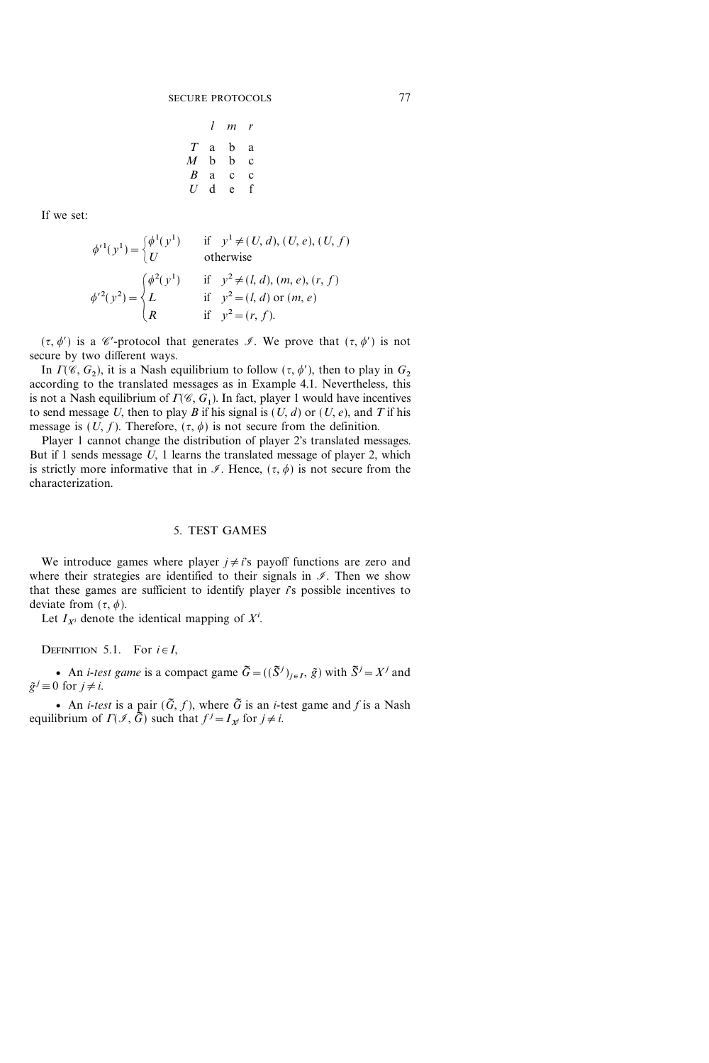|               | I | m | r |
|---------------|---|---|---|
| T             | a | b | a |
| M             | b | b | c |
| B             | a | C | c |
| $\mathcal{U}$ | d | e | f |

If we set:

$$
\phi'^{1}(y^{1}) = \begin{cases} \phi^{1}(y^{1}) & \text{if } y^{1} \neq (U, d), (U, e), (U, f) \\ U & \text{otherwise} \end{cases}
$$

$$
\phi'^{2}(y^{2}) = \begin{cases} \phi^{2}(y^{1}) & \text{if } y^{2} \neq (l, d), (m, e), (r, f) \\ L & \text{if } y^{2} = (l, d) \text{ or } (m, e) \\ R & \text{if } y^{2} = (r, f). \end{cases}
$$

 $({\tau}, {\phi}')$  is a *C*'-protocol that generates *I*. We prove that  $({\tau}, {\phi}')$  is not secure by two different ways.

In  $\Gamma(\mathscr{C}, G_2)$ , it is a Nash equilibrium to follow  $(\tau, \phi')$ , then to play in  $G_2$ according to the translated messages as in Example 4.1. Nevertheless, this is not a Nash equilibrium of  $\Gamma(\mathscr{C}, G_1)$ . In fact, player 1 would have incentives to send message U, then to play B if his signal is  $(U, d)$  or  $(U, e)$ , and T if his message is  $(U, f)$ . Therefore,  $({\tau}, {\phi})$  is not secure from the definition.

Player 1 cannot change the distribution of player 2's translated messages. But if 1 sends message  $U$ , 1 learns the translated message of player 2, which is strictly more informative that in  $\mathcal{I}$ . Hence,  $({\tau}, {\phi})$  is not secure from the characterization.

## 5. TEST GAMES

We introduce games where player  $j \neq i$ 's payoff functions are zero and where their strategies are identified to their signals in  $\mathcal{I}$ . Then we show that these games are sufficient to identify player  $\vec{i}$  s possible incentives to deviate from  $(\tau, \phi)$ .

Let  $I_{X^i}$  denote the identical mapping of  $X^i$ .

DEFINITION 5.1. For  $i \in I$ ,

• An *i-test game* is a compact game  $\tilde{G} = ((\tilde{S}^{j})_{j \in I}, \tilde{g})$  with  $\tilde{S}^{j} = X^{j}$  and  $\tilde{g}^j \equiv 0$  for  $j \neq i$ .

• An *i-test* is a pair  $(\tilde{G}, f)$ , where  $\tilde{G}$  is an *i*-test game and f is a Nash equilibrium of  $\Gamma(\mathcal{I}, \tilde{G})$  such that  $f^j = I_{\mathcal{X}}$  for  $j \neq i$ .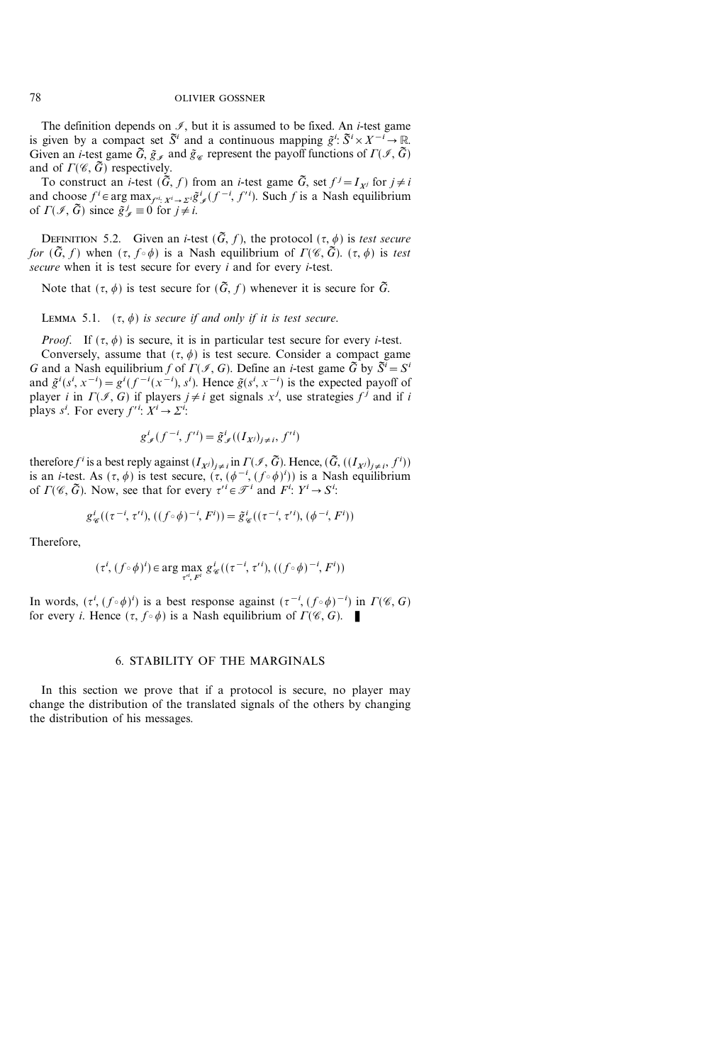The definition depends on  $\mathcal{I}$ , but it is assumed to be fixed. An *i*-test game is given by a compact set  $\tilde{S}^i$  and a continuous mapping  $\tilde{g}^i$ :  $\tilde{S}^i \times X^{-i} \to \mathbb{R}$ . Given an *i*-test game  $\tilde{G}, \tilde{g}_{\mathscr{I}}$  and  $\tilde{g}_{\mathscr{C}}$  represent the payoff functions of  $\Gamma(\mathscr{I}, \tilde{G})$ and of  $\Gamma(\mathscr{C}, \tilde{G})$  respectively.

To construct an *i*-test  $(\tilde{G}, f)$  from an *i*-test game  $\tilde{G}$ , set  $f^j = I_{X^j}$  for  $j \neq i$ and choose  $f^i \in \arg \max_{f'^i: X^i \to \Sigma^i} \tilde{g}^i_{\mathcal{I}}(f^{-i}, f'^i)$ . Such f is a Nash equilibrium of  $\Gamma(\mathcal{I}, \tilde{G})$  since  $\tilde{g}_{\mathcal{J}}^j \equiv 0$  for  $j \neq i$ .

DEFINITION 5.2. Given an *i*-test  $(\tilde{G}, f)$ , the protocol  $(\tau, \phi)$  is test secure for  $(\tilde{G}, f)$  when  $({\tau}, f \circ \phi)$  is a Nash equilibrium of  $\Gamma(\mathscr{C}, \tilde{G})$ .  $({\tau}, \phi)$  is test secure when it is test secure for every  $i$  and for every  $i$ -test.

Note that  $({\tau, \phi})$  is test secure for  $({\tilde{G}}, f)$  whenever it is secure for  ${\tilde{G}}$ .

LEMMA 5.1.  $(\tau, \phi)$  is secure if and only if it is test secure.

*Proof.* If  $({\tau}, \phi)$  is secure, it is in particular test secure for every *i*-test.

Conversely, assume that  $({\tau}, {\phi})$  is test secure. Consider a compact game G and a Nash equilibrium f of  $\Gamma(\mathcal{I}, G)$ . Define an *i*-test game  $\tilde{G}$  by  $\tilde{S}^i = S^i$ and  $\tilde{g}^{i}(s^{i}, x^{-i}) = g^{i}(f^{-i}(x^{-i}), s^{i})$ . Hence  $\tilde{g}(s^{i}, x^{-i})$  is the expected payoff of player *i* in  $\Gamma(\mathcal{I}, G)$  if players  $j \neq i$  get signals  $x^j$ , use strategies  $f^j$  and if *i* plays  $s^i$ . For every  $f'^i$ :  $X^i \rightarrow \Sigma^i$ :

$$
g^i_{\mathscr{I}}(f^{-i},f'^i)=\tilde{g}^i_{\mathscr{I}}((I_{X^j})_{j\neq i},f'^i)
$$

therefore  $f^i$  is a best reply against  $(I_{X^j})_{j\neq i}$  in  $\Gamma(\mathscr{I}, \tilde{G})$ . Hence,  $(\tilde{G}, ((I_{X^j})_{j\neq i}, f^i))$ is an *i*-test. As  $({\tau, \phi})$  is test secure,  $({\tau, (\phi^{-i}, (f \circ \phi)^i)})$  is a Nash equilibrium of  $\Gamma(\mathscr{C}, \tilde{G})$ . Now, see that for every  $\tau^i \in \mathscr{T}^i$  and  $F^i: Y^i \to S^i$ .

$$
g^{i}_{\mathscr{C}}((\tau^{-i},\tau'^{i}),((f\circ\phi)^{-i},F^{i}))=\tilde{g}^{i}_{\mathscr{C}}((\tau^{-i},\tau'^{i}),(\phi^{-i},F^{i}))
$$

Therefore,

$$
(\tau^i, (f \circ \phi)^i) \in \arg \max_{\tau^i, F^i} g^i_{\mathscr{C}}((\tau^{-i}, \tau'^i), ((f \circ \phi)^{-i}, F^i))
$$

In words,  $(\tau^i, (f \circ \phi)^i)$  is a best response against  $(\tau^{-i}, (f \circ \phi)^{-i})$  in  $\Gamma(\mathscr{C}, G)$ for every *i*. Hence  $({\tau}, f \circ {\phi})$  is a Nash equilibrium of  $\Gamma(\mathscr{C}, G)$ .

# 6. STABILITY OF THE MARGINALS

In this section we prove that if a protocol is secure, no player may change the distribution of the translated signals of the others by changing the distribution of his messages.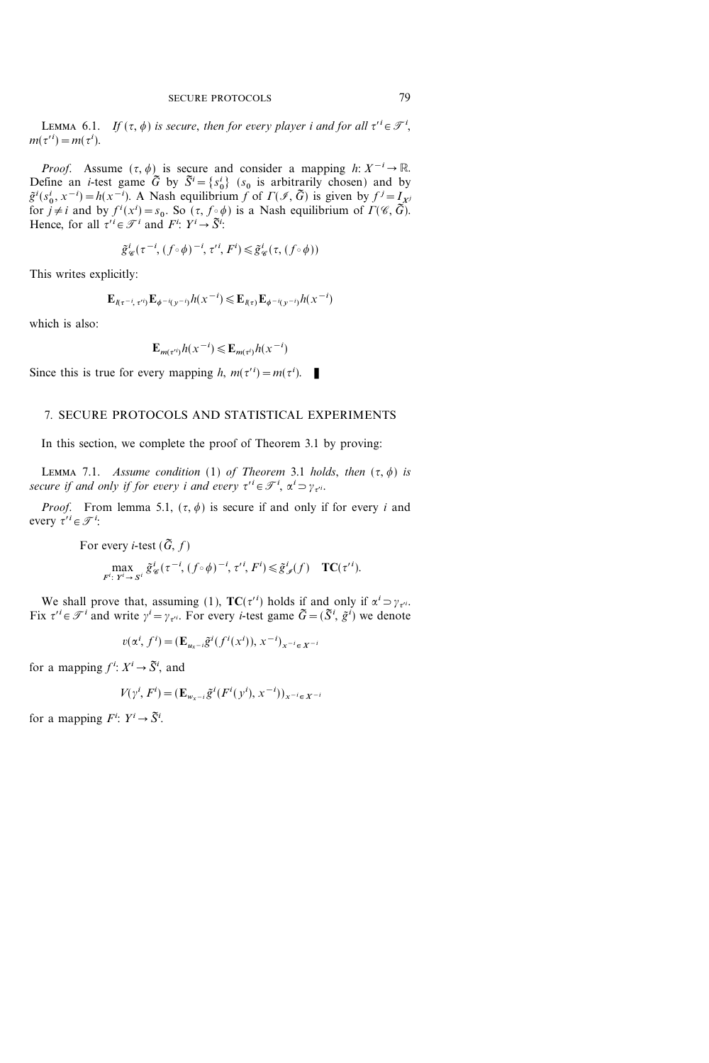LEMMA 6.1. If  $(\tau, \phi)$  is secure, then for every player i and for all  $\tau' \in \mathcal{T}^i$ ,  $m(\tau^{i}) = m(\tau^{i}).$ 

*Proof.* Assume  $(\tau, \phi)$  is secure and consider a mapping  $h: X^{-i} \to \mathbb{R}$ . Define an *i*-test game  $\tilde{G}$  by  $\tilde{S}^i = \{s_0^i\}$  ( $s_0$  is arbitrarily chosen) and by  $\tilde{g}^i(s_0^i, x^{-i}) = h(x^{-i}).$  A Nash equilibrium f of  $\Gamma(\mathcal{I}, \tilde{G})$  is given by  $f^j = I_{\tilde{X}^j}$ for  $j \neq i$  and by  $f^{i}(x^{i}) = s_{0}$ . So  $(\tau, f \circ \phi)$  is a Nash equilibrium of  $\Gamma(\mathscr{C}, \vec{G})$ . Hence, for all  $\tau' \in \mathcal{F}^i$  and  $F^i: Y^i \to \tilde{S}^i$ :

$$
\tilde{g}^i_\mathscr{C}(\tau^{-i},(f\!\circ\!\phi)^{-i},\tau'^i,F^i)\!\leqslant\!\tilde{g}^i_\mathscr{C}(\tau,(f\!\circ\!\phi))
$$

This writes explicitly:

$$
\mathbf{E}_{\ell(\tau^{-i},\tau^{i})} \mathbf{E}_{\phi^{-i}(\tau^{-i})} h(\tau^{-i}) \leq \mathbf{E}_{\ell(\tau)} \mathbf{E}_{\phi^{-i}(\tau^{-i})} h(\tau^{-i})
$$

which is also:

$$
\mathbf{E}_{m(\tau^{i})}h(x^{-i}) \leq \mathbf{E}_{m(\tau^{i})}h(x^{-i})
$$

Since this is true for every mapping h,  $m(\tau^{i}) = m(\tau^{i})$ .

# 7. SECURE PROTOCOLS AND STATISTICAL EXPERIMENTS

In this section, we complete the proof of Theorem 3.1 by proving:

LEMMA 7.1. Assume condition (1) of Theorem 3.1 holds, then  $(\tau, \phi)$  is secure if and only if for every i and every  $\tau' \in \mathcal{T}^i$ ,  $\alpha^i \supset \gamma_{\tau'^i}$ .

*Proof.* From lemma 5.1,  $(\tau, \phi)$  is secure if and only if for every i and every  $\tau^i \in \mathcal{T}^i$ :

For every *i*-test 
$$
(\tilde{G}, f)
$$
  
\n
$$
\max_{F^i: Y^i \to S^i} \tilde{g}^i_{\mathscr{C}}(\tau^{-i}, (f \circ \phi)^{-i}, \tau'^i, F^i) \leq \tilde{g}^i_{\mathscr{I}}(f) \quad \mathbf{TC}(\tau'^i).
$$

We shall prove that, assuming (1),  $TC(\tau')$  holds if and only if  $\alpha' \supset \gamma_{\tau'}$ . Fix  $\tau' = \mathcal{T}^i$  and write  $\gamma^i = \gamma_{\tau''}$ . For every *i*-test game  $\tilde{G} = (\tilde{S}^i, \tilde{g}^i)$  we denote

$$
v(\alpha^i, f^i) = (\mathbf{E}_{u_{x}-i}\tilde{g}^i(f^i(x^i)), x^{-i})_{x^{-i} \in X^{-i}}
$$

for a mapping  $f^i: X^i \to \tilde{S}^i$ , and

$$
V(\gamma^i, F^i) = (\mathbf{E}_{w_{x^{-i}}}\tilde{g}^i(F^i(y^i), x^{-i}))_{x^{-i} \in X^{-i}}
$$

for a mapping  $F^i: Y^i \to \tilde{S}^i$ .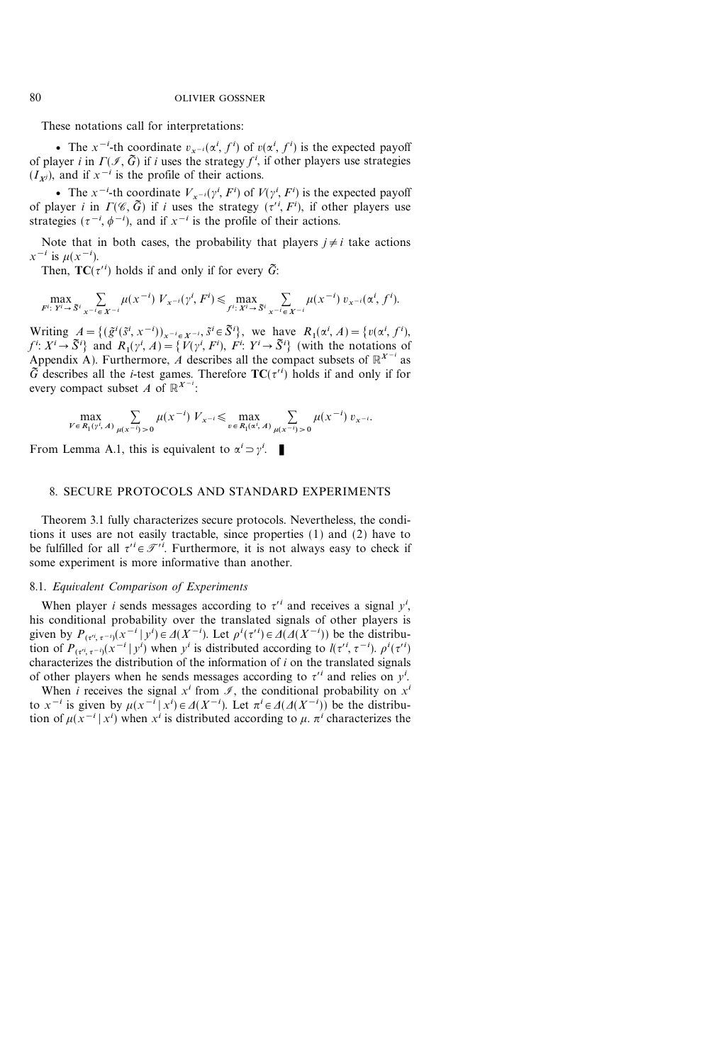These notations call for interpretations:

• The  $x^{-i}$ -th coordinate  $v_{x^{-i}}(\alpha^i, f^i)$  of  $v(\alpha^i, f^i)$  is the expected payoff of player *i* in  $\Gamma(\mathcal{I}, \tilde{G})$  if *i* uses the strategy  $f^i$ , if other players use strategies  $(I_{xj})$ , and if  $x^{-i}$  is the profile of their actions.

• The  $x^{-i}$ -th coordinate  $V_{x^{-i}}(\gamma^i, F^i)$  of  $V(\gamma^i, F^i)$  is the expected payoff of player *i* in  $\Gamma(\mathscr{C}, \tilde{G})$  if *i* uses the strategy  $(\tau^i, F^i)$ , if other players use strategies  $(\tau^{-i}, \phi^{-i})$ , and if  $x^{-i}$  is the profile of their actions.

Note that in both cases, the probability that players  $j \neq i$  take actions  $x^{-i}$  is  $\mu(x^{-i})$ .

Then,  $TC(\tau'')$  holds if and only if for every  $\tilde{G}$ :

$$
\max_{F^i: Y^i \to \mathfrak{F}^i} \sum_{x^{-i} \in X^{-i}} \mu(x^{-i}) V_{x^{-i}}(\gamma^i, F^i) \le \max_{f^i: X^i \to \mathfrak{F}^i} \sum_{x^{-i} \in X^{-i}} \mu(x^{-i}) v_{x^{-i}}(\alpha^i, f^i).
$$

Writing  $A = \{(\tilde{g}^i(\tilde{s}^i, x^{-i}))_{x^{-i} \in \mathcal{X}^{-i}}, \tilde{s}^i \in \tilde{S}^i\},\$ we have  $R_1(\alpha^i, A) = \{v(\alpha^i, f^i),\}$  $f^{i}: X^{i} \rightarrow \tilde{S}^{i}$  and  $R_{1}(\gamma^{i}, A) = \{V(\gamma^{i}, F^{i}), F^{i}: Y^{i} \rightarrow \tilde{S}^{i}\}$  (with the notations of Appendix A). Furthermore, A describes all the compact subsets of  $\mathbb{R}^{X^{-i}}$  as  $\tilde{G}$  describes all the *i*-test games. Therefore  $TC(\tau'^i)$  holds if and only if for every compact subset A of  $\mathbb{R}^{X^{-i}}$ :

$$
\max_{V \in R_1(\gamma^i, A)} \sum_{\mu(x^{-i}) > 0} \mu(x^{-i}) V_{x^{-i}} \le \max_{v \in R_1(\alpha^i, A)} \sum_{\mu(x^{-i}) > 0} \mu(x^{-i}) v_{x^{-i}}.
$$

From Lemma A.1, this is equivalent to  $\alpha^i \supset \gamma^i$ .

# 8. SECURE PROTOCOLS AND STANDARD EXPERIMENTS

Theorem 3.1 fully characterizes secure protocols. Nevertheless, the conditions it uses are not easily tractable, since properties (1) and (2) have to be fulfilled for all  $\tau' \in \mathcal{T}'$ . Furthermore, it is not always easy to check if some experiment is more informative than another.

# 8.1. Equivalent Comparison of Experiments

When player *i* sends messages according to  $\tau^i$  and receives a signal  $y^i$ , his conditional probability over the translated signals of other players is given by  $P_{(t^{i}, \tau^{-i})}(x^{-i} | y^{i}) \in \Delta(X^{-i})$ . Let  $\rho^{i}(\tau^{i}) \in \Delta(\Delta(X^{-i}))$  be the distribution of  $P_{({\tau}^{i}, {\tau}^{-i})}(x^{-i} | y^{i})$  when  $y^{i}$  is distributed according to  $l({\tau}^{i}, {\tau}^{-i})$ .  $\rho^{i}({\tau}^{i})$ characterizes the distribution of the information of  $i$  on the translated signals of other players when he sends messages according to  $\tau^i$  and relies on  $y^i$ .

When *i* receives the signal  $x^i$  from  $\mathcal{I}$ , the conditional probability on  $x^i$ to  $x^{-i}$  is given by  $\mu(x^{-i} | x^i) \in \Delta(X^{-i})$ . Let  $\pi^i \in \Delta(\Delta(X^{-i}))$  be the distribution of  $\mu(x^{-i} | x^i)$  when  $x^i$  is distributed according to  $\mu$ .  $\pi^i$  characterizes the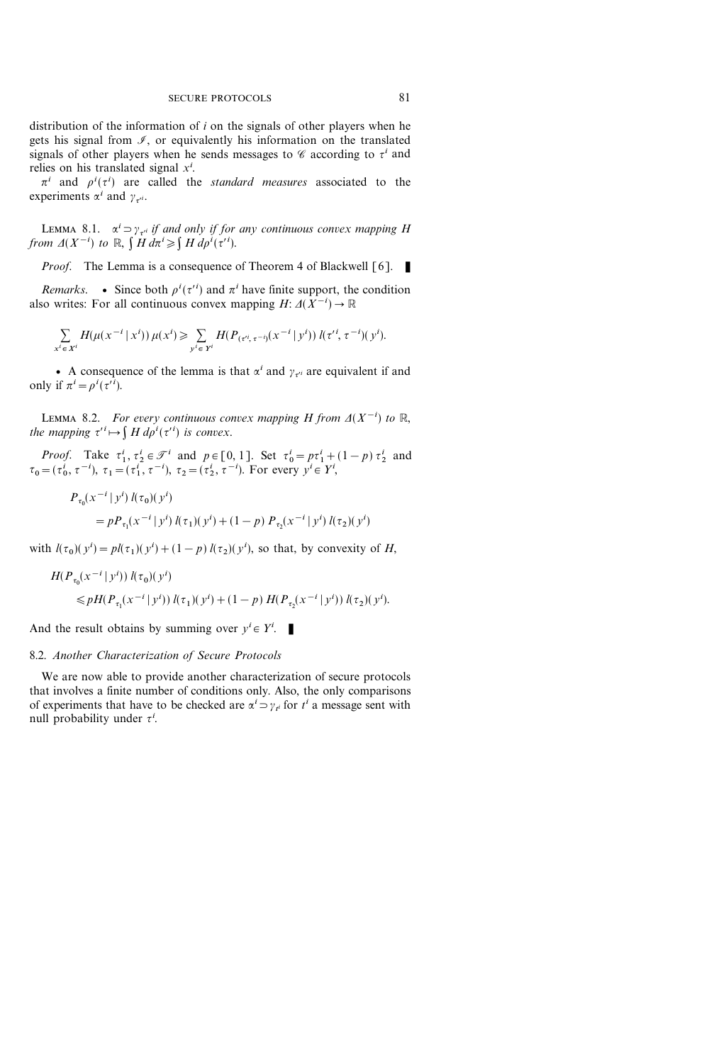distribution of the information of i on the signals of other players when he gets his signal from  $I$ , or equivalently his information on the translated signals of other players when he sends messages to  $\mathscr C$  according to  $\tau^i$  and relies on his translated signal  $x^i$ .

 $\pi^{i}$  and  $\rho^{i}(\tau^{i})$  are called the *standard measures* associated to the experiments  $\alpha^i$  and  $\gamma_{\tau'^i}$ .

LEMMA 8.1.  $\alpha^i = \gamma_{\tau^{i}}$  if and only if for any continuous convex mapping H from  $\Delta(X^{-i})$  to  $\mathbb{R}, \int H d\pi^i \geq \int H d\rho^i(\tau'^i)$ .

*Proof.* The Lemma is a consequence of Theorem 4 of Blackwell  $\lceil 6 \rceil$ .

Remarks. • Since both  $\rho^{i}(\tau^{i})$  and  $\pi^{i}$  have finite support, the condition also writes: For all continuous convex mapping  $H: \Delta(X^{-i}) \to \mathbb{R}$ 

$$
\sum_{x^i \in X^i} H(\mu(x^{-i} | x^i)) \mu(x^i) \ge \sum_{y^i \in Y^i} H(P_{(\tau^{i}, \tau^{-i})}(x^{-i} | y^i)) \, l(\tau^{i}, \tau^{-i})(y^i).
$$

• A consequence of the lemma is that  $\alpha^i$  and  $\gamma_{\tau^i}$  are equivalent if and only if  $\pi^i = \rho^i(\tau'^i)$ .

LEMMA 8.2. For every continuous convex mapping H from  $\Delta(X^{-i})$  to  $\mathbb{R},$ the mapping  $\tau^{i} \mapsto \int H d\rho^{i}(\tau^{i})$  is convex.

*Proof.* Take  $\tau_1^i, \tau_2^i \in \mathcal{T}^i$  and  $p \in [0, 1]$ . Set  $\tau_0^i = p\tau_1^i + (1 - p)\tau_2^i$  and  $\tau_0 = (\tau_0^i, \tau^{-i}), \tau_1 = (\tau_1^i, \tau^{-i}), \tau_2 = (\tau_2^i, \tau^{-i}).$  For every  $y^i \in Y^i$ ,

$$
P_{\tau_0}(x^{-i} | y^i) l(\tau_0)(y^i)
$$
  
=  $p P_{\tau_1}(x^{-i} | y^i) l(\tau_1)(y^i) + (1 - p) P_{\tau_2}(x^{-i} | y^i) l(\tau_2)(y^i)$ 

with  $l(\tau_0)(y^i) = pl(\tau_1)(y^i) + (1-p) l(\tau_2)(y^i)$ , so that, by convexity of H,

$$
H(P_{\tau_0}(x^{-i} | y^i)) l(\tau_0)(y^i)
$$
  
\$\leq p H(P\_{\tau\_1}(x^{-i} | y^i)) l(\tau\_1)(y^i) + (1-p) H(P\_{\tau\_2}(x^{-i} | y^i)) l(\tau\_2)(y^i).

And the result obtains by summing over  $y^i \in Y^i$ .

# 8.2. Another Characterization of Secure Protocols

We are now able to provide another characterization of secure protocols that involves a finite number of conditions only. Also, the only comparisons of experiments that have to be checked are  $\alpha^i \supset \gamma_{t^i}$  for  $t^i$  a message sent with null probability under  $\tau^i$ .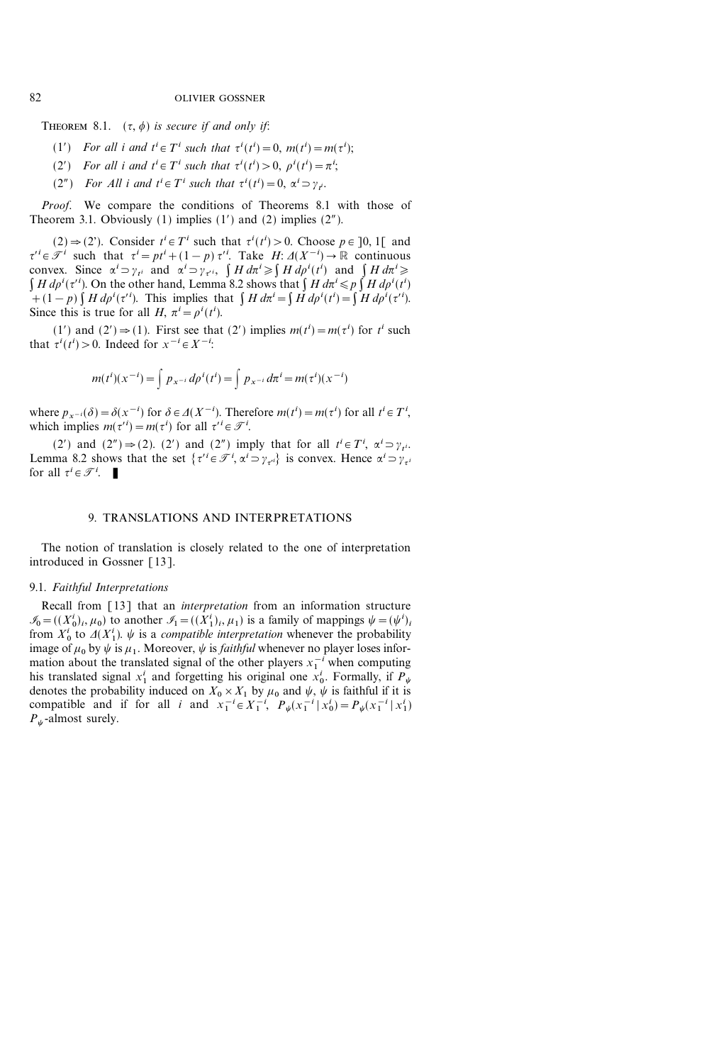THEOREM 8.1.  $(\tau, \phi)$  is secure if and only if:

- (1') For all i and  $t^i \in T^i$  such that  $\tau^i(t^i) = 0$ ,  $m(t^i) = m(\tau^i)$ ;
- (2') For all i and  $t^i \in T^i$  such that  $\tau^i(t^i) > 0$ ,  $\rho^i(t^i) = \pi^i$ ;
- (2") For All i and  $t^i \in T^i$  such that  $\tau^i(t^i) = 0$ ,  $\alpha^i \supset \gamma_i$ .

Proof. We compare the conditions of Theorems 8.1 with those of Theorem 3.1. Obviously  $(1)$  implies  $(1')$  and  $(2)$  implies  $(2'')$ .

 $(2) \Rightarrow (2')$ . Consider  $t^i \in T^i$  such that  $\tau^i(t^i) > 0$ . Choose  $p \in ]0, 1[$  and  $\tau' \in \mathcal{F}^i$  such that  $\tau^i = pt^i + (1-p) \tau'^i$ . Take  $H: \Delta(X^{-i}) \to \mathbb{R}$  continuous convex. Since  $\alpha^i = \gamma_{t^i}$  and  $\alpha^i = \gamma_{t^i}$ ,  $\int H d\pi^i \ge \int H d\rho^i(t^i)$  and  $\int H d\pi^i \ge$  $\int H d\rho^{i} (\tau^{i})$ . On the other hand, Lemma 8.2 shows that  $\int H d\pi^{i} \leqslant p \int H d\rho^{i} (t^{i})$ +(1-p)  $\int H d\rho^{i} (\tau'^{i})$ . This implies that  $\int H d\pi^{i} = \int H d\rho^{i} (\tau^{i}) = \int H d\rho^{i} (\tau'^{i})$ . Since this is true for all H,  $\pi^i = \rho^i(t^i)$ .

(1') and (2')  $\Rightarrow$  (1). First see that (2') implies  $m(t^i) = m(\tau^i)$  for  $t^i$  such that  $\tau^{i}(t^{i}) > 0$ . Indeed for  $x^{-i} \in X^{-i}$ :

$$
m(t^{i})(x^{-i}) = \int p_{x^{-i}} dp^{i}(t^{i}) = \int p_{x^{-i}} d\pi^{i} = m(\tau^{i})(x^{-i})
$$

where  $p_{x^{-i}}(\delta) = \delta(x^{-i})$  for  $\delta \in \Delta(X^{-i})$ . Therefore  $m(t^i) = m(\tau^i)$  for all  $t^i \in T^i$ , which implies  $m(\tau^{i}) = m(\tau^{i})$  for all  $\tau^{i} \in \mathcal{T}^{i}$ .

(2') and (2")  $\Rightarrow$  (2). (2') and (2") imply that for all  $t^i \in T^i$ ,  $\alpha^i \Rightarrow \gamma_{t^i}$ . Lemma 8.2 shows that the set  $\{\tau'^i \in \mathcal{F}^i, \alpha^i \supset \gamma_{\tau'^i}\}$  is convex. Hence  $\alpha^i \supset \gamma_{\tau'^i}$ for all  $\tau^i \in \mathcal{T}^i$ .

## 9. TRANSLATIONS AND INTERPRETATIONS

The notion of translation is closely related to the one of interpretation introduced in Gossner [13].

#### 9.1. Faithful Interpretations

Recall from [13] that an *interpretation* from an information structure  $\mathcal{I}_0 = ((X_0^i)_i, \mu_0)$  to another  $\mathcal{I}_1 = ((X_1^i)_i, \mu_1)$  is a family of mappings  $\psi = (\psi^i)_i$ from  $X_0^i$  to  $\Delta(X_1^i)$ .  $\psi$  is a *compatible interpretation* whenever the probability image of  $\mu_0$  by  $\psi$  is  $\mu_1$ . Moreover,  $\psi$  is *faithful* whenever no player loses information about the translated signal of the other players  $x_1^{-i}$  when computing his translated signal  $x_1^i$  and forgetting his original one  $x_0^i$ . Formally, if  $P_\psi$ denotes the probability induced on  $X_0 \times X_1$  by  $\mu_0$  and  $\psi$ ,  $\psi$  is faithful if it is compatible and if for all *i* and  $x_1^{-i} \in X_1^{-i}$ ,  $P_\psi(x_1^{-i} | x_0^i) = P_\psi(x_1^{-i} | x_1^i)$  $P_{\psi}$ -almost surely.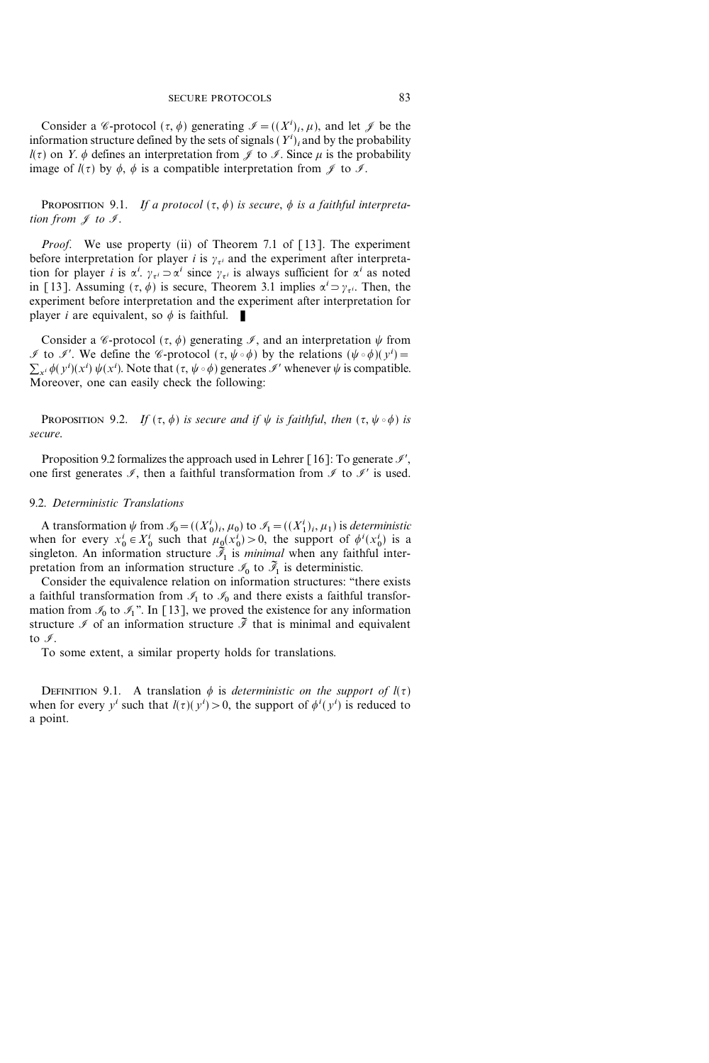Consider a *C*-protocol  $(\tau, \phi)$  generating  $\mathcal{I} = ((X^i)_i, \mu)$ , and let  $\mathcal{J}$  be the information structure defined by the sets of signals  $(Y^{i})_i$  and by the probability  $\ell(\tau)$  on Y.  $\phi$  defines an interpretation from  $\mathscr J$  to  $\mathscr I$ . Since  $\mu$  is the probability image of  $l(\tau)$  by  $\phi$ ,  $\phi$  is a compatible interpretation from  $\mathscr I$  to  $\mathscr I$ .

PROPOSITION 9.1. If a protocol  $({\tau}, {\phi})$  is secure,  ${\phi}$  is a faithful interpretation from  $\mathscr J$  to  $\mathscr I$ .

Proof. We use property (ii) of Theorem 7.1 of [13]. The experiment before interpretation for player *i* is  $\gamma_{\tau i}$  and the experiment after interpretation for player *i* is  $\alpha^i$ .  $\gamma_{\tau^i} \supset \alpha^i$  since  $\gamma_{\tau^i}$  is always sufficient for  $\alpha^i$  as noted in [13]. Assuming  $({\tau, \phi})$  is secure, Theorem 3.1 implies  $\alpha^i = \gamma_{\tau^i}$ . Then, the experiment before interpretation and the experiment after interpretation for player *i* are equivalent, so  $\phi$  is faithful.

Consider a *C*-protocol  $(\tau, \phi)$  generating *J*, and an interpretation  $\psi$  from *I* to *I*'. We define the *C*-protocol  $({\tau}, {\psi \circ \phi})$  by the relations  $({\psi \circ \phi})(y^i)$  =  $\sum_{x_i} \phi(y^i)(x^i) \psi(x^i)$ . Note that  $({\tau}, \psi \circ \phi)$  generates  ${\mathscr I}$  whenever  $\psi$  is compatible. Moreover, one can easily check the following:

PROPOSITION 9.2. If  $({\tau}, \phi)$  is secure and if  $\psi$  is faithful, then  $({\tau}, \psi \circ \phi)$  is secure.

Proposition 9.2 formalizes the approach used in Lehrer  $\lceil 16 \rceil$ : To generate  $\mathcal{I}',$ one first generates  $\mathcal{I}$ , then a faithful transformation from  $\mathcal{I}$  to  $\mathcal{I}'$  is used.

## 9.2. Deterministic Translations

A transformation  $\psi$  from  $\mathcal{I}_0 = ((X_0^i)_i, \mu_0)$  to  $\mathcal{I}_1 = ((X_1^i)_i, \mu_1)$  is deterministic when for every  $x_0^i \in X_0^i$  such that  $\mu_0(x_0^i) > 0$ , the support of  $\phi^i(x_0^i)$  is a singleton. An information structure  $\mathcal{I}_1$  is *minimal* when any faithful interpretation from an information structure  $\mathcal{I}_0$  to  $\tilde{\mathcal{I}}_1$  is deterministic.

Consider the equivalence relation on information structures: "there exists a faithful transformation from  $\mathcal{I}_1$  to  $\mathcal{I}_0$  and there exists a faithful transformation from  $\mathcal{I}_0$  to  $\mathcal{I}_1$ ". In [13], we proved the existence for any information structure  $\mathcal I$  of an information structure  $\tilde{\mathcal I}$  that is minimal and equivalent to  $\mathscr{I}$ .

To some extent, a similar property holds for translations.

DEFINITION 9.1. A translation  $\phi$  is deterministic on the support of  $I(\tau)$ when for every  $y^i$  such that  $l(\tau)(y^i) > 0$ , the support of  $\phi^i(y^i)$  is reduced to a point.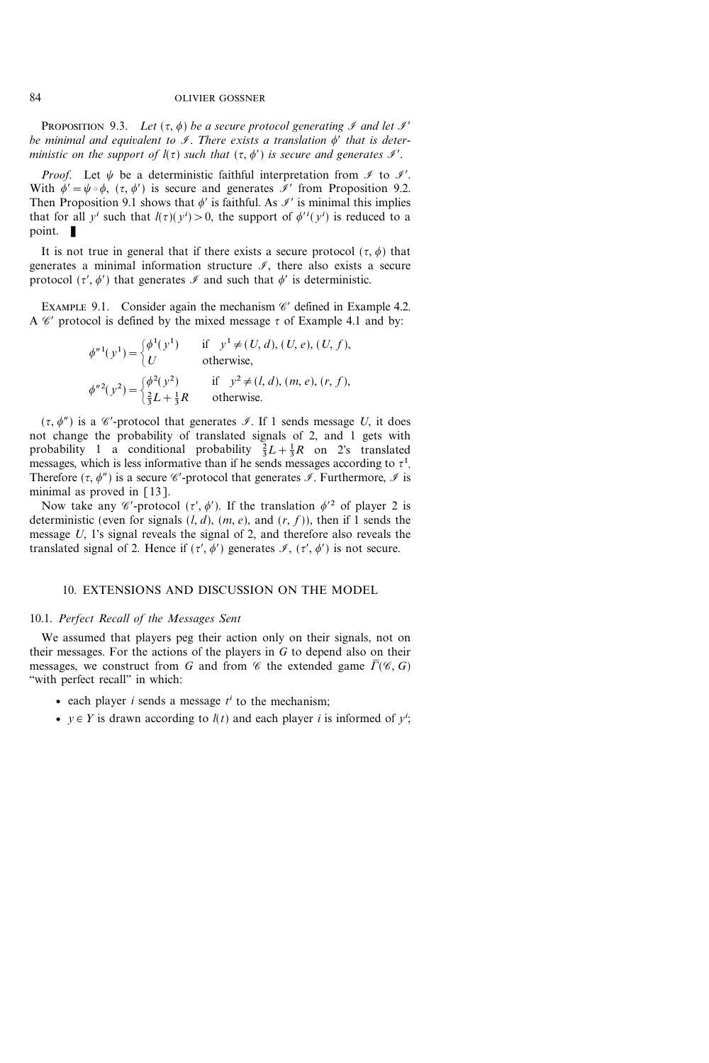PROPOSITION 9.3. Let  $({\tau}, \phi)$  be a secure protocol generating  ${\mathscr{I}}$  and let  ${\mathscr{I}}'$ be minimal and equivalent to  $\mathcal I$ . There exists a translation  $\phi'$  that is deterministic on the support of  $I(\tau)$  such that  $({\tau}, {\phi}')$  is secure and generates  ${\mathscr I}'$ .

*Proof.* Let  $\psi$  be a deterministic faithful interpretation from  $\mathcal I$  to  $\mathcal I'$ . With  $\phi' = \psi \circ \phi$ ,  $({\tau}, {\phi}')$  is secure and generates  ${\mathscr{I}}'$  from Proposition 9.2. Then Proposition 9.1 shows that  $\phi'$  is faithful. As  $\mathcal{I}'$  is minimal this implies that for all  $y^i$  such that  $l(\tau)(y^i) > 0$ , the support of  $\phi^{i}(y^i)$  is reduced to a point.  $\blacksquare$ 

It is not true in general that if there exists a secure protocol  $(\tau, \phi)$  that generates a minimal information structure  $\mathcal{I}$ , there also exists a secure protocol  $({\tau}', {\phi}')$  that generates  $\mathscr I$  and such that  ${\phi}'$  is deterministic.

EXAMPLE 9.1. Consider again the mechanism  $\mathscr C'$  defined in Example 4.2. A  $\mathscr C'$  protocol is defined by the mixed message  $\tau$  of Example 4.1 and by:

$$
\phi^{n1}(y^{1}) = \begin{cases} \phi^{1}(y^{1}) & \text{if } y^{1} \neq (U, d), (U, e), (U, f), \\ U & \text{otherwise,} \end{cases}
$$
  

$$
\phi^{n2}(y^{2}) = \begin{cases} \phi^{2}(y^{2}) & \text{if } y^{2} \neq (l, d), (m, e), (r, f), \\ \frac{2}{3}L + \frac{1}{3}R & \text{otherwise.} \end{cases}
$$

 $({\tau}, {\phi}')$  is a  ${\mathscr C}$ -protocol that generates  ${\mathscr I}$ . If 1 sends message U, it does not change the probability of translated signals of 2, and 1 gets with probability 1 a conditional probability  $\frac{2}{3}L + \frac{1}{3}R$  on 2's translated messages, which is less informative than if he sends messages according to  $\tau^1$ . Therefore  $({\tau, \phi' })$  is a secure  $\mathscr C$ -protocol that generates  $\mathscr I$ . Furthermore,  $\mathscr I$  is minimal as proved in  $[13]$ .

Now take any  $\mathscr{C}'$ -protocol  $(\tau', \phi')$ . If the translation  $\phi'^2$  of player 2 is deterministic (even for signals  $(l, d)$ ,  $(m, e)$ , and  $(r, f)$ ), then if 1 sends the message U, 1's signal reveals the signal of 2, and therefore also reveals the translated signal of 2. Hence if  $(\tau', \phi')$  generates  $\mathcal{I}, (\tau', \phi')$  is not secure.

# 10. EXTENSIONS AND DISCUSSION ON THE MODEL

## 10.1. Perfect Recall of the Messages Sent

We assumed that players peg their action only on their signals, not on their messages. For the actions of the players in  $G$  to depend also on their messages, we construct from G and from  $\mathscr C$  the extended game  $\bar{\Gamma}(\mathscr C, G)$ "with perfect recall" in which:

- each player  $i$  sends a message  $t^i$  to the mechanism;
- $y \in Y$  is drawn according to  $l(t)$  and each player i is informed of  $y^i$ ;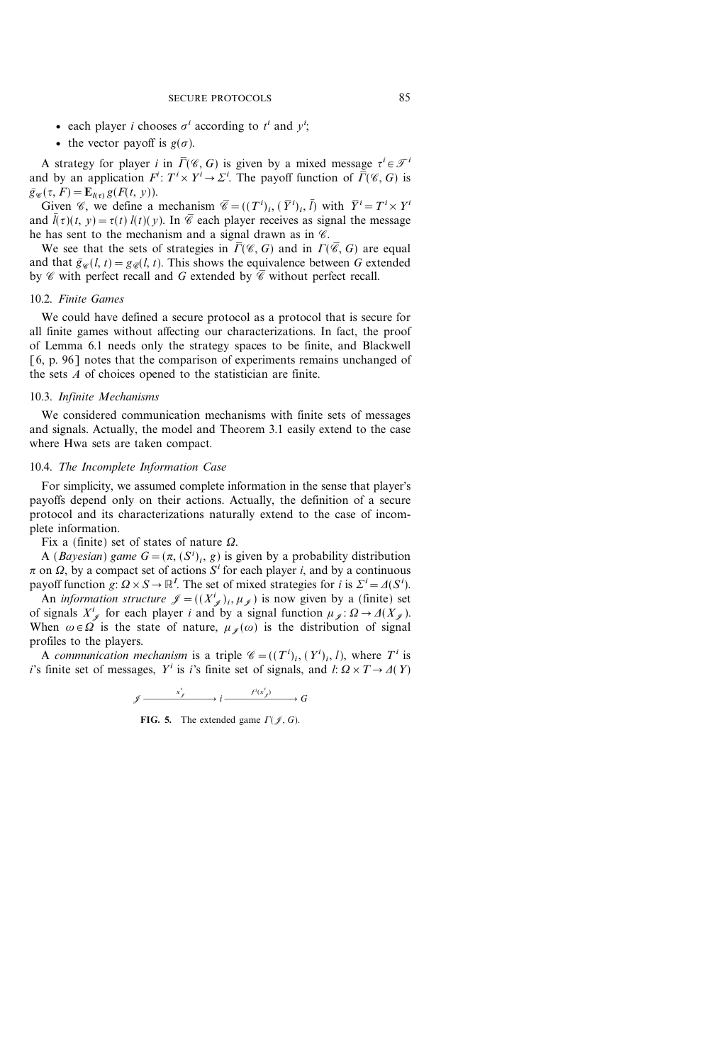- each player *i* chooses  $\sigma^i$  according to  $t^i$  and  $y^i$ ;
- the vector payoff is  $g(\sigma)$ .

A strategy for player *i* in  $\overline{\Gamma}(\mathscr{C}, G)$  is given by a mixed message  $\tau^i \in \mathscr{T}^i$ and by an application  $F^i: T^i \times Y^i \to \Sigma^i$ . The payoff function of  $\overline{\Gamma}(\mathscr{C}, G)$  is  $\bar{g}_{\mathscr{R}}(\tau, F) = \mathbf{E}_{l(\tau)} g(F(t, y)).$ 

Given *C*, we define a mechanism  $\overline{C} = ((T^i)_i, (\overline{Y}^i)_i, \overline{l})$  with  $\overline{Y}^i = T^i \times Y^i$ and  $\bar{l}(\tau)(t, y) = \tau(t) l(t)(y)$ . In  $\bar{\mathscr{C}}$  each player receives as signal the message he has sent to the mechanism and a signal drawn as in  $\mathscr{C}$ .

We see that the sets of strategies in  $\overline{\Gamma}(\mathscr{C}, G)$  and in  $\Gamma(\overline{\mathscr{C}}, G)$  are equal and that  $\bar{g}_{\infty}(l, t)=g_{\infty}(l, t)$ . This shows the equivalence between G extended by  $\mathscr C$  with perfect recall and G extended by  $\overline{\mathscr C}$  without perfect recall.

# 10.2. Finite Games

We could have defined a secure protocol as a protocol that is secure for all finite games without affecting our characterizations. In fact, the proof of Lemma 6.1 needs only the strategy spaces to be finite, and Blackwell [6, p. 96] notes that the comparison of experiments remains unchanged of the sets A of choices opened to the statistician are finite.

#### 10.3. Infinite Mechanisms

We considered communication mechanisms with finite sets of messages and signals. Actually, the model and Theorem 3.1 easily extend to the case where Hwa sets are taken compact.

# 10.4. The Incomplete Information Case

For simplicity, we assumed complete information in the sense that player's payoffs depend only on their actions. Actually, the definition of a secure protocol and its characterizations naturally extend to the case of incomplete information.

Fix a (finite) set of states of nature  $\Omega$ .

A (*Bayesian*) game  $G = (\pi, (S^i)_i, g)$  is given by a probability distribution  $\pi$  on  $\Omega$ , by a compact set of actions  $S<sup>i</sup>$  for each player i, and by a continuous payoff function  $g: \Omega \times S \to \mathbb{R}^l$ . The set of mixed strategies for i is  $\Sigma^i = \Delta(S^i)$ .

An *information structure*  $\mathcal{J} = ((X^i_{\mathcal{J}})_i, \mu_{\mathcal{J}})$  is now given by a (finite) set of signals  $X^i_{\mathscr{J}}$  for each player i and by a signal function  $\mu_{\mathscr{J}}: \Omega \to \Delta(X_{\mathscr{J}})$ . When  $\omega \in \Omega$  is the state of nature,  $\mu_{\mathscr{C}}(\omega)$  is the distribution of signal profiles to the players.

A communication mechanism is a triple  $\mathscr{C} = ((T^i)_i, (Y^i)_i, l)$ , where  $T^i$  is i's finite set of messages,  $Y^i$  is i's finite set of signals, and  $l: \Omega \times T \rightarrow \Delta(Y)$ 

$$
\mathcal{J} \xrightarrow{\qquad x^i_{\mathcal{J}}} i \xrightarrow{\qquad f^i(x^i_{\mathcal{J}})} G
$$

FIG. 5. The extended game  $\Gamma(\mathcal{J}, G)$ .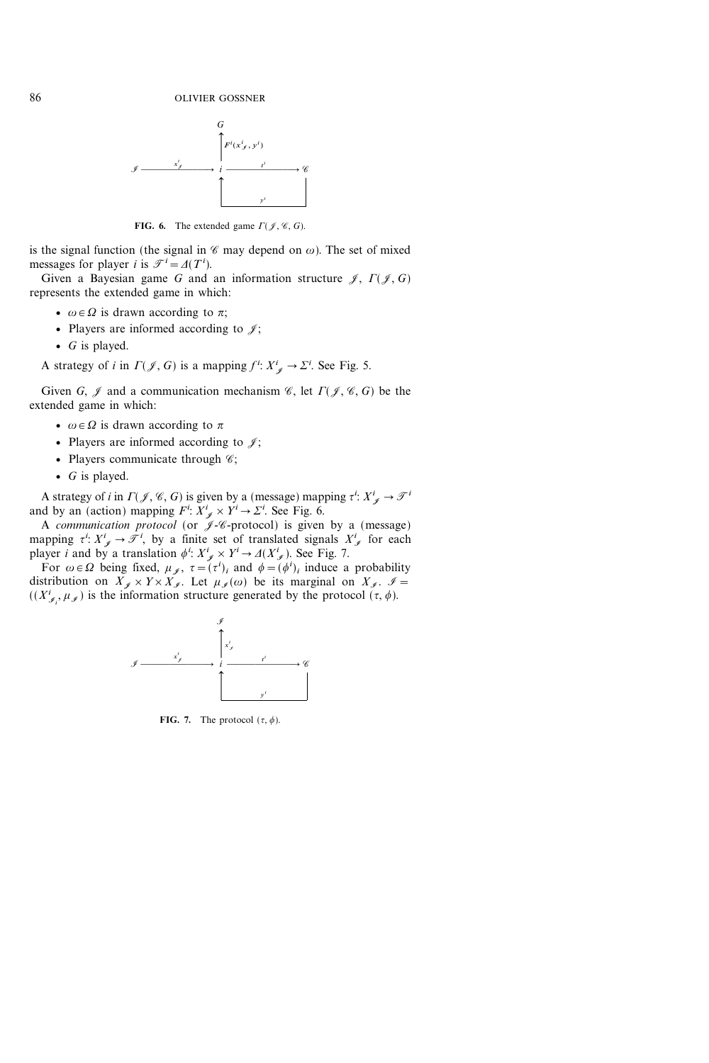

FIG. 6. The extended game  $\Gamma(\mathcal{J}, \mathcal{C}, G)$ .

is the signal function (the signal in  $\mathscr C$  may depend on  $\omega$ ). The set of mixed messages for player *i* is  $\mathcal{T}^i = \Delta(T^i)$ .

Given a Bayesian game G and an information structure  $\mathcal{J}, \Gamma(\mathcal{J}, G)$ represents the extended game in which:

- $\omega \in \Omega$  is drawn according to  $\pi$ ;
- Players are informed according to  $\mathcal{J}$ ;
- $G$  is played.

A strategy of *i* in  $\Gamma(\mathcal{J}, G)$  is a mapping  $f^i: X^i_{\mathcal{J}} \to \Sigma^i$ . See Fig. 5.

Given G,  $\mathcal I$  and a communication mechanism  $\mathcal C$ , let  $\Gamma(\mathcal J, \mathcal C, G)$  be the extended game in which:

- $\omega \in \Omega$  is drawn according to  $\pi$
- Players are informed according to  $\mathcal{J}$ ;
- Players communicate through  $\mathscr{C};$
- $G$  is played.

A strategy of *i* in  $\Gamma(\mathcal{J}, \mathcal{C}, G)$  is given by a (message) mapping  $\tau^i: X^i_{\mathcal{J}} \to \mathcal{J}^i$ and by an (action) mapping  $F^i$ :  $X^i_{\mathscr{J}} \times Y^i \to \Sigma^i$ . See Fig. 6.

A communication protocol (or  $\mathscr{J}$ -*C*-protocol) is given by a (message) mapping  $\tau^i: X^i_{\mathscr{J}} \to \mathscr{T}^i$ , by a finite set of translated signals  $X^i_{\mathscr{J}}$  for each player *i* and by a translation  $\phi^i$ :  $X^i_{\mathscr{J}} \times Y^i \to \Delta(X^i_{\mathscr{J}})$ . See Fig. 7.

For  $\omega \in \Omega$  being fixed,  $\mu_{\mathscr{J}}$ ,  $\tau = (\tau^i)_i$  and  $\phi = (\phi^i)_i$  induce a probability distribution on  $X_{\mathscr{I}} \times Y \times X_{\mathscr{I}}$ . Let  $\mu_{\mathscr{I}} (\omega)$  be its marginal on  $X_{\mathscr{I}}$ .  $\mathscr{I}$  =  $((X_{\mathscr{I}_i}^i, \mu_{\mathscr{I}}))$  is the information structure generated by the protocol  $(\tau, \phi)$ .



FIG. 7. The protocol  $(\tau, \phi)$ .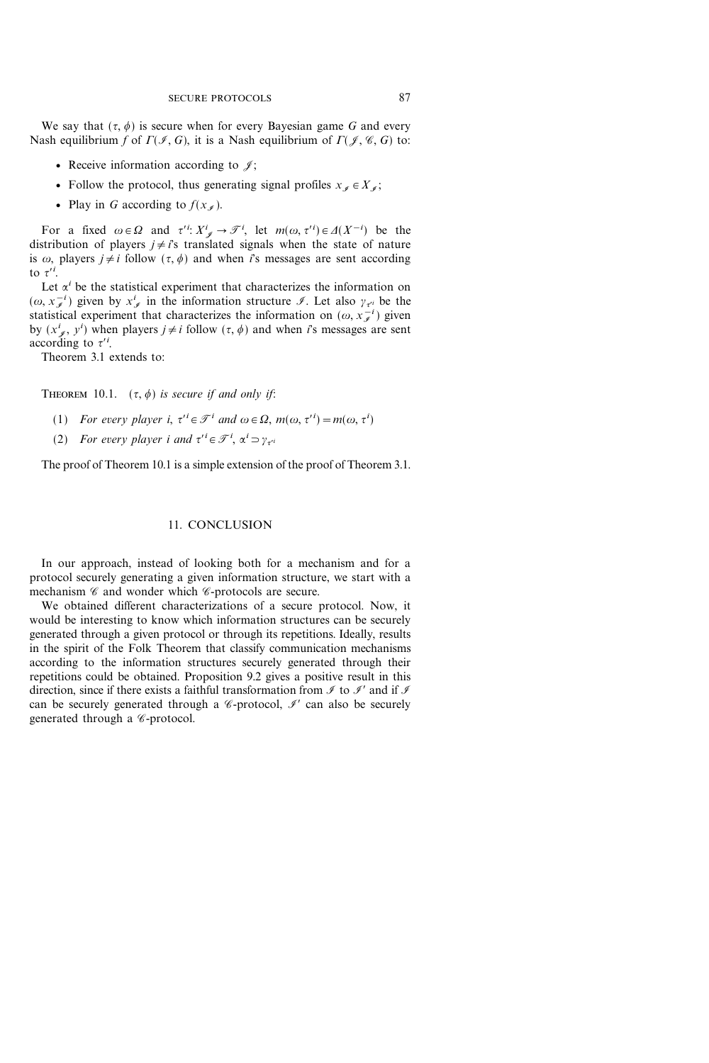We say that  $({\tau}, {\phi})$  is secure when for every Bayesian game G and every Nash equilibrium f of  $\Gamma(\mathcal{I}, G)$ , it is a Nash equilibrium of  $\Gamma(\mathcal{J}, \mathcal{C}, G)$  to:

- Receive information according to  $\mathcal{J}$ ;
- Follow the protocol, thus generating signal profiles  $x_j \in X_j$ ;
- Play in G according to  $f(x)$ .

For a fixed  $\omega \in \Omega$  and  $\tau'^i: X^i_{\mathscr{J}} \to \mathscr{T}^i$ , let  $m(\omega, \tau'^i) \in \Delta(X^{-i})$  be the distribution of players  $j \neq i$ 's translated signals when the state of nature is  $\omega$ , players  $j \neq i$  follow  $({\tau}, {\phi})$  and when is messages are sent according to  $\tau'^i$ .

Let  $\alpha^i$  be the statistical experiment that characterizes the information on  $(\omega, x_{\mathcal{I}}^{-i})$  given by  $x_{\mathcal{I}}^{i}$  in the information structure  $\mathcal{I}$ . Let also  $\gamma_{\tau}$  be the statistical experiment that characterizes the information on  $(\omega, x_{i}^{-i})$  given by  $(x^i_{\neq}, y^i)$  when players  $j \neq i$  follow  $({\tau}, {\phi})$  and when is messages are sent according to  $\tau^{\prime i}$ .

Theorem 3.1 extends to:

THEOREM 10.1.  $(\tau, \phi)$  is secure if and only if:

- (1) For every player i,  $\tau' \in \mathcal{F}^i$  and  $\omega \in \Omega$ ,  $m(\omega, \tau'^i) = m(\omega, \tau^i)$
- (2) For every player i and  $\tau^{\prime i} \in \mathcal{F}^i$ ,  $\alpha^i \supset \gamma_{\tau^{\prime i}}$

The proof of Theorem 10.1 is a simple extension of the proof of Theorem 3.1.

# 11. CONCLUSION

In our approach, instead of looking both for a mechanism and for a protocol securely generating a given information structure, we start with a mechanism  $\mathscr C$  and wonder which  $\mathscr C$ -protocols are secure.

We obtained different characterizations of a secure protocol. Now, it would be interesting to know which information structures can be securely generated through a given protocol or through its repetitions. Ideally, results in the spirit of the Folk Theorem that classify communication mechanisms according to the information structures securely generated through their repetitions could be obtained. Proposition 9.2 gives a positive result in this direction, since if there exists a faithful transformation from  $\mathcal I$  to  $\mathcal I$  and if  $\mathcal I$ can be securely generated through a  $\mathscr C$ -protocol,  $\mathscr I$  can also be securely generated through a *C*-protocol.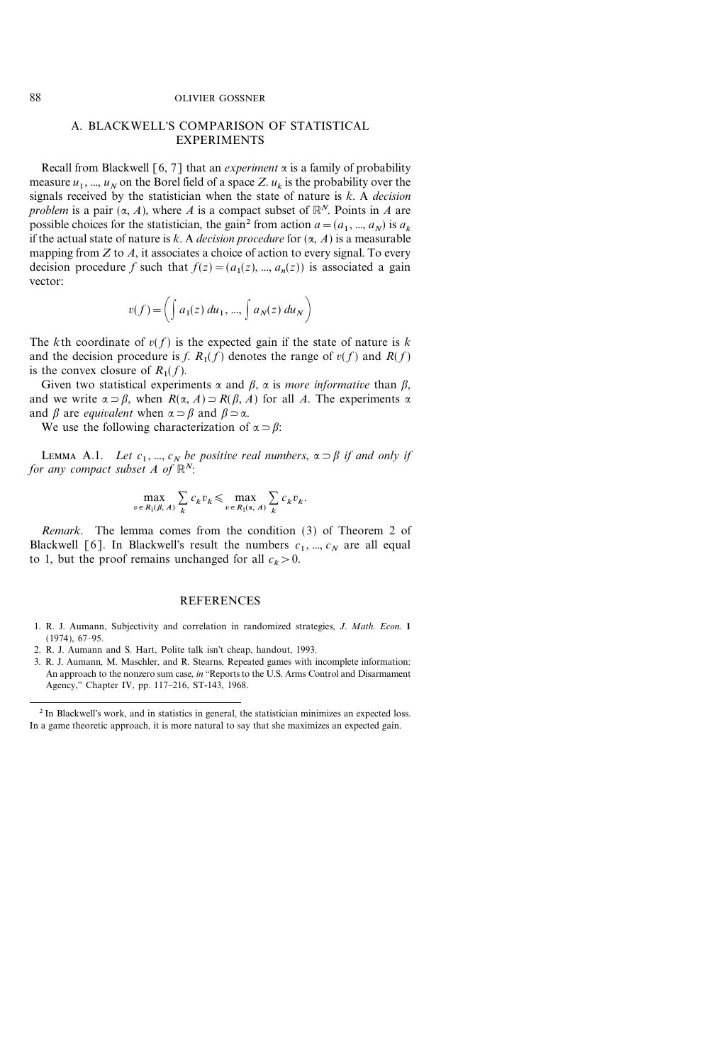#### 88 OLIVIER GOSSNER

# A. BLACKWELL'S COMPARISON OF STATISTICAL EXPERIMENTS

Recall from Blackwell [6, 7] that an *experiment*  $\alpha$  is a family of probability measure  $u_1$ , ...,  $u_N$  on the Borel field of a space Z.  $u_k$  is the probability over the signals received by the statistician when the state of nature is  $k$ . A *decision* problem is a pair  $(\alpha, A)$ , where A is a compact subset of  $\mathbb{R}^N$ . Points in A are possible choices for the statistician, the gain<sup>2</sup> from action  $a=(a_1, ..., a_N)$  is  $a_k$ if the actual state of nature is k. A *decision procedure* for  $(\alpha, A)$  is a measurable mapping from  $Z$  to  $A$ , it associates a choice of action to every signal. To every decision procedure f such that  $f(z)=(a_1(z), ..., a_n(z))$  is associated a gain vector:

$$
v(f) = \left(\int a_1(z) du_1, ..., \int a_N(z) du_N\right)
$$

The kth coordinate of  $v(f)$  is the expected gain if the state of nature is k and the decision procedure is f.  $R_1(f)$  denotes the range of  $v(f)$  and  $R(f)$ is the convex closure of  $R_1(f)$ .

Given two statistical experiments  $\alpha$  and  $\beta$ ,  $\alpha$  is more informative than  $\beta$ , and we write  $\alpha \supset \beta$ , when  $R(\alpha, A) \supset R(\beta, A)$  for all A. The experiments  $\alpha$ and  $\beta$  are *equivalent* when  $\alpha \supset \beta$  and  $\beta \supset \alpha$ .

We use the following characterization of  $\alpha = \beta$ :

LEMMA A.1. Let  $c_1$ , ...,  $c_N$  be positive real numbers,  $\alpha \supset \beta$  if and only if for any compact subset A of  $\mathbb{R}^N$ :

$$
\max_{v \in R_1(\beta, A)} \sum_k c_k v_k \le \max_{v \in R_1(\alpha, A)} \sum_k c_k v_k.
$$

Remark. The lemma comes from the condition (3) of Theorem 2 of Blackwell [6]. In Blackwell's result the numbers  $c_1$ , ...,  $c_N$  are all equal to 1, but the proof remains unchanged for all  $c_k>0$ .

#### **REFERENCES**

- 1. R. J. Aumann, Subjectivity and correlation in randomized strategies, J. Math. Econ. 1  $(1974), 67-95.$
- 2. R. J. Aumann and S. Hart, Polite talk isn't cheap, handout, 1993.
- 3. R. J. Aumann, M. Maschler, and R. Stearns, Repeated games with incomplete information: An approach to the nonzero sum case, in "Reports to the U.S. Arms Control and Disarmament Agency," Chapter IV, pp. 117-216, ST-143, 1968.

<sup>2</sup> In Blackwell's work, and in statistics in general, the statistician minimizes an expected loss. In a game theoretic approach, it is more natural to say that she maximizes an expected gain.